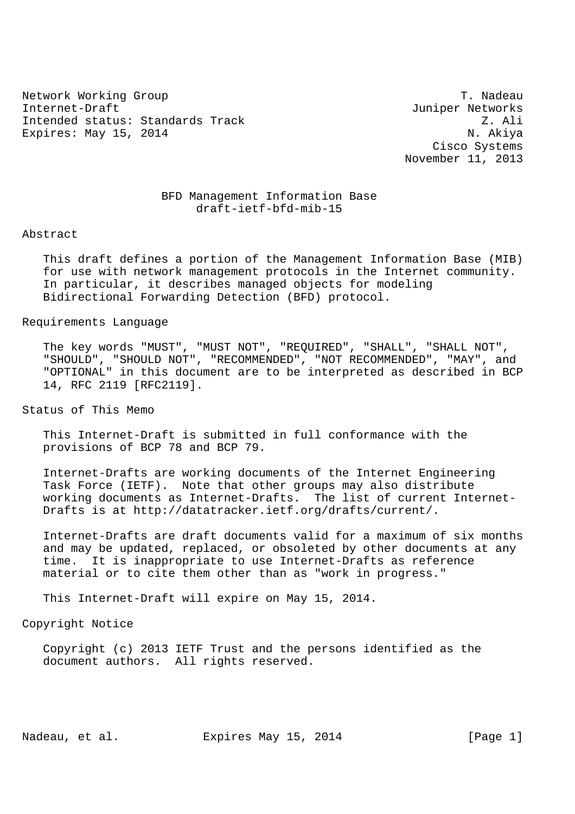Network Working Group Theory of the Contract of the Contract of the T. Nadeau Internet-Draft Juniper Networks Intended status: Standards Track Z. Ali Expires: May 15, 2014 N. Akiya

 Cisco Systems November 11, 2013

# BFD Management Information Base draft-ietf-bfd-mib-15

#### Abstract

 This draft defines a portion of the Management Information Base (MIB) for use with network management protocols in the Internet community. In particular, it describes managed objects for modeling Bidirectional Forwarding Detection (BFD) protocol.

## Requirements Language

 The key words "MUST", "MUST NOT", "REQUIRED", "SHALL", "SHALL NOT", "SHOULD", "SHOULD NOT", "RECOMMENDED", "NOT RECOMMENDED", "MAY", and "OPTIONAL" in this document are to be interpreted as described in BCP 14, RFC 2119 [RFC2119].

Status of This Memo

 This Internet-Draft is submitted in full conformance with the provisions of BCP 78 and BCP 79.

 Internet-Drafts are working documents of the Internet Engineering Task Force (IETF). Note that other groups may also distribute working documents as Internet-Drafts. The list of current Internet- Drafts is at http://datatracker.ietf.org/drafts/current/.

 Internet-Drafts are draft documents valid for a maximum of six months and may be updated, replaced, or obsoleted by other documents at any time. It is inappropriate to use Internet-Drafts as reference material or to cite them other than as "work in progress."

This Internet-Draft will expire on May 15, 2014.

## Copyright Notice

 Copyright (c) 2013 IETF Trust and the persons identified as the document authors. All rights reserved.

Nadeau, et al. Expires May 15, 2014 [Page 1]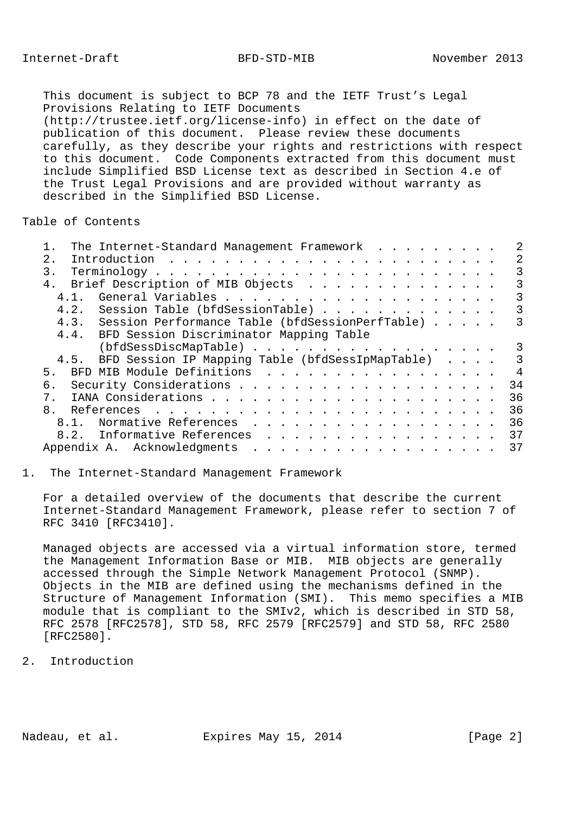This document is subject to BCP 78 and the IETF Trust's Legal Provisions Relating to IETF Documents (http://trustee.ietf.org/license-info) in effect on the date of publication of this document. Please review these documents carefully, as they describe your rights and restrictions with respect to this document. Code Components extracted from this document must include Simplified BSD License text as described in Section 4.e of the Trust Legal Provisions and are provided without warranty as described in the Simplified BSD License.

Table of Contents

| The Internet-Standard Management Framework            |                |
|-------------------------------------------------------|----------------|
| 2.1                                                   | 2              |
| $\mathbf{3}$ .                                        | 3              |
| 4. Brief Description of MIB Objects                   | 3              |
| 4, 1,                                                 | 3              |
| 4.2. Session Table (bfdSessionTable)                  | 3              |
| 4.3. Session Performance Table (bfdSessionPerfTable)  | 3              |
| 4.4. BFD Session Discriminator Mapping Table          |                |
| (bfdSessDiscMapTable)                                 | 3              |
| 4.5. BFD Session IP Mapping Table (bfdSessIpMapTable) | 3              |
| BFD MIB Module Definitions<br>5.                      | $\overline{4}$ |
| б.                                                    | 34             |
| $7_{\odot}$                                           | 36             |
| 8 <sub>1</sub>                                        | 36             |
| 8.1. Normative References                             | 36             |
| 8.2. Informative References                           | 37             |
|                                                       | 37             |
|                                                       |                |

### 1. The Internet-Standard Management Framework

 For a detailed overview of the documents that describe the current Internet-Standard Management Framework, please refer to section 7 of RFC 3410 [RFC3410].

 Managed objects are accessed via a virtual information store, termed the Management Information Base or MIB. MIB objects are generally accessed through the Simple Network Management Protocol (SNMP). Objects in the MIB are defined using the mechanisms defined in the Structure of Management Information (SMI). This memo specifies a MIB module that is compliant to the SMIv2, which is described in STD 58, RFC 2578 [RFC2578], STD 58, RFC 2579 [RFC2579] and STD 58, RFC 2580 [RFC2580].

2. Introduction

Nadeau, et al. Expires May 15, 2014 [Page 2]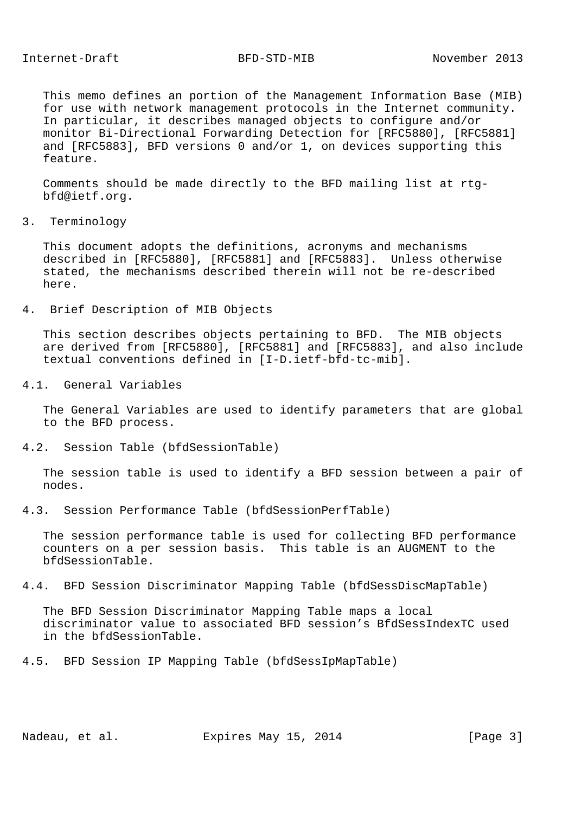This memo defines an portion of the Management Information Base (MIB) for use with network management protocols in the Internet community. In particular, it describes managed objects to configure and/or monitor Bi-Directional Forwarding Detection for [RFC5880], [RFC5881] and [RFC5883], BFD versions 0 and/or 1, on devices supporting this feature.

 Comments should be made directly to the BFD mailing list at rtg bfd@ietf.org.

3. Terminology

 This document adopts the definitions, acronyms and mechanisms described in [RFC5880], [RFC5881] and [RFC5883]. Unless otherwise stated, the mechanisms described therein will not be re-described here.

4. Brief Description of MIB Objects

 This section describes objects pertaining to BFD. The MIB objects are derived from [RFC5880], [RFC5881] and [RFC5883], and also include textual conventions defined in [I-D.ietf-bfd-tc-mib].

4.1. General Variables

 The General Variables are used to identify parameters that are global to the BFD process.

4.2. Session Table (bfdSessionTable)

 The session table is used to identify a BFD session between a pair of nodes.

4.3. Session Performance Table (bfdSessionPerfTable)

 The session performance table is used for collecting BFD performance counters on a per session basis. This table is an AUGMENT to the bfdSessionTable.

4.4. BFD Session Discriminator Mapping Table (bfdSessDiscMapTable)

 The BFD Session Discriminator Mapping Table maps a local discriminator value to associated BFD session's BfdSessIndexTC used in the bfdSessionTable.

4.5. BFD Session IP Mapping Table (bfdSessIpMapTable)

Nadeau, et al. Expires May 15, 2014 [Page 3]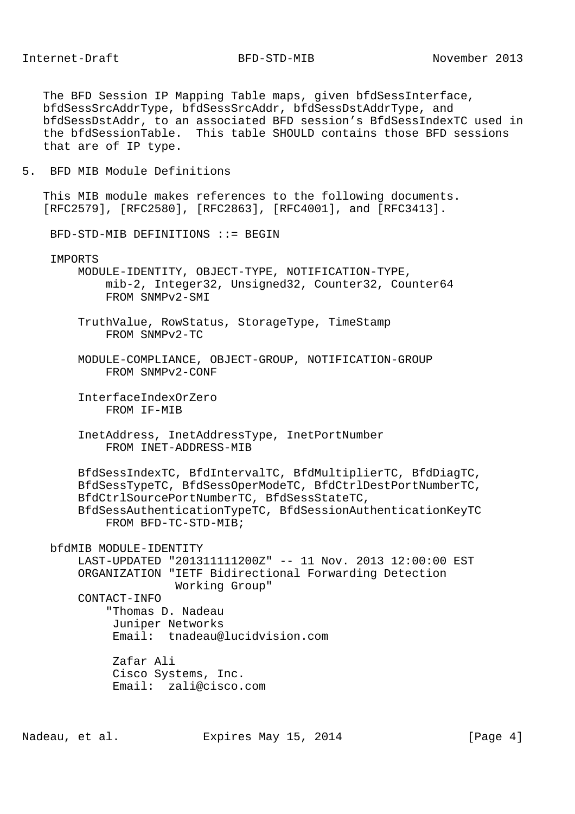The BFD Session IP Mapping Table maps, given bfdSessInterface, bfdSessSrcAddrType, bfdSessSrcAddr, bfdSessDstAddrType, and bfdSessDstAddr, to an associated BFD session's BfdSessIndexTC used in the bfdSessionTable. This table SHOULD contains those BFD sessions that are of IP type.

5. BFD MIB Module Definitions

 This MIB module makes references to the following documents. [RFC2579], [RFC2580], [RFC2863], [RFC4001], and [RFC3413].

BFD-STD-MIB DEFINITIONS ::= BEGIN

IMPORTS

 MODULE-IDENTITY, OBJECT-TYPE, NOTIFICATION-TYPE, mib-2, Integer32, Unsigned32, Counter32, Counter64 FROM SNMPv2-SMI

- TruthValue, RowStatus, StorageType, TimeStamp FROM SNMPv2-TC
- MODULE-COMPLIANCE, OBJECT-GROUP, NOTIFICATION-GROUP FROM SNMPv2-CONF
- InterfaceIndexOrZero FROM IF-MIB
- InetAddress, InetAddressType, InetPortNumber FROM INET-ADDRESS-MIB

 BfdSessIndexTC, BfdIntervalTC, BfdMultiplierTC, BfdDiagTC, BfdSessTypeTC, BfdSessOperModeTC, BfdCtrlDestPortNumberTC, BfdCtrlSourcePortNumberTC, BfdSessStateTC, BfdSessAuthenticationTypeTC, BfdSessionAuthenticationKeyTC FROM BFD-TC-STD-MIB;

bfdMIB MODULE-IDENTITY

 LAST-UPDATED "201311111200Z" -- 11 Nov. 2013 12:00:00 EST ORGANIZATION "IETF Bidirectional Forwarding Detection Working Group"

CONTACT-INFO

 "Thomas D. Nadeau Juniper Networks Email: tnadeau@lucidvision.com

 Zafar Ali Cisco Systems, Inc. Email: zali@cisco.com

Nadeau, et al. Expires May 15, 2014 [Page 4]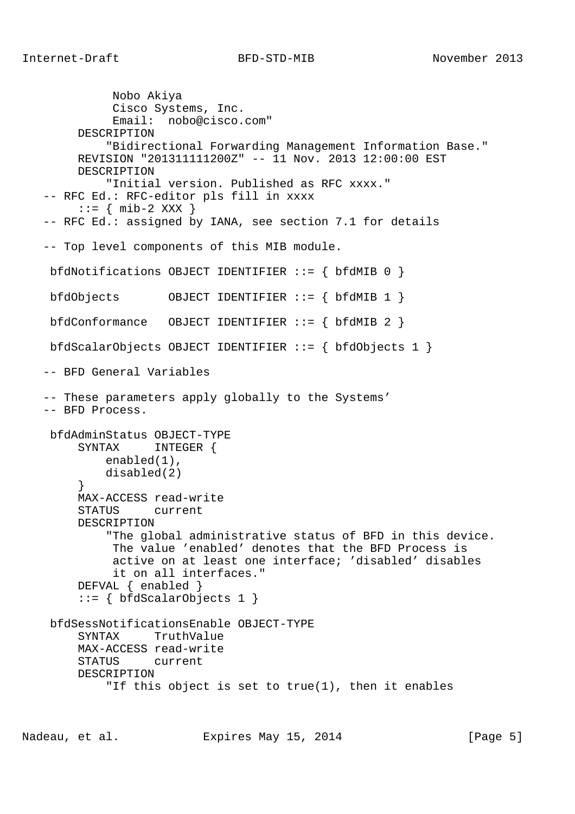Nobo Akiya Cisco Systems, Inc. Email: nobo@cisco.com" DESCRIPTION "Bidirectional Forwarding Management Information Base." REVISION "201311111200Z" -- 11 Nov. 2013 12:00:00 EST DESCRIPTION "Initial version. Published as RFC xxxx." -- RFC Ed.: RFC-editor pls fill in xxxx  $\cdot := \{ \text{min-2 XXX } \}$  -- RFC Ed.: assigned by IANA, see section 7.1 for details -- Top level components of this MIB module. bfdNotifications OBJECT IDENTIFIER ::= { bfdMIB 0 } bfdObjects OBJECT IDENTIFIER ::= { bfdMIB 1 } bfdConformance OBJECT IDENTIFIER ::= { bfdMIB 2 } bfdScalarObjects OBJECT IDENTIFIER ::= { bfdObjects 1 } -- BFD General Variables -- These parameters apply globally to the Systems' -- BFD Process. bfdAdminStatus OBJECT-TYPE SYNTAX INTEGER { enabled(1), disabled(2)  $\}$  } MAX-ACCESS read-write STATUS current DESCRIPTION "The global administrative status of BFD in this device. The value 'enabled' denotes that the BFD Process is active on at least one interface; 'disabled' disables it on all interfaces." DEFVAL { enabled } ::= { bfdScalarObjects 1 } bfdSessNotificationsEnable OBJECT-TYPE SYNTAX TruthValue MAX-ACCESS read-write STATUS current DESCRIPTION "If this object is set to true(1), then it enables

Nadeau, et al. Expires May 15, 2014 [Page 5]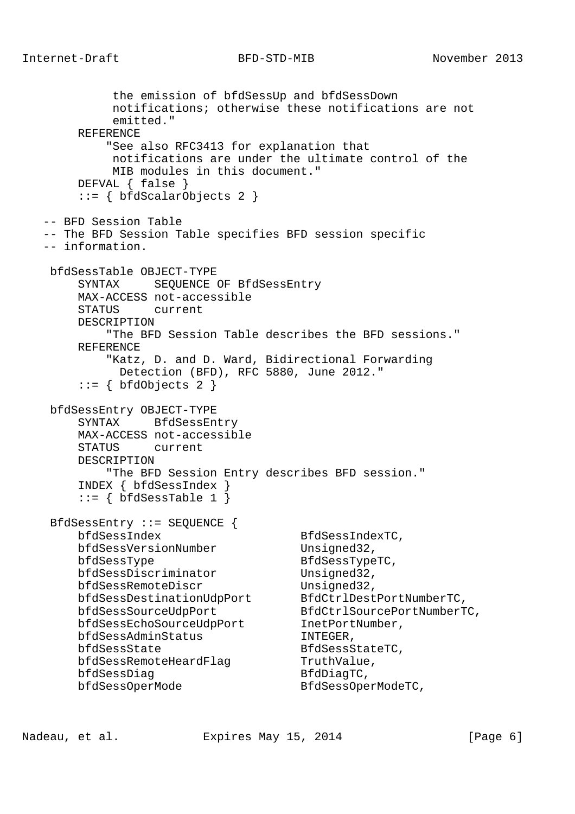Internet-Draft BFD-STD-MIB November 2013

 the emission of bfdSessUp and bfdSessDown notifications; otherwise these notifications are not emitted." REFERENCE "See also RFC3413 for explanation that notifications are under the ultimate control of the MIB modules in this document." DEFVAL { false }  $::=$  { bfdScalarObjects 2 } -- BFD Session Table -- The BFD Session Table specifies BFD session specific -- information. bfdSessTable OBJECT-TYPE SYNTAX SEQUENCE OF BfdSessEntry MAX-ACCESS not-accessible STATUS current DESCRIPTION "The BFD Session Table describes the BFD sessions." REFERENCE "Katz, D. and D. Ward, Bidirectional Forwarding Detection (BFD), RFC 5880, June 2012."  $::=$  { bfdObjects 2 } bfdSessEntry OBJECT-TYPE SYNTAX BfdSessEntry MAX-ACCESS not-accessible STATUS current DESCRIPTION "The BFD Session Entry describes BFD session." INDEX { bfdSessIndex }  $::=$  { bfdSessTable 1 } BfdSessEntry ::= SEQUENCE { bfdSessIndex BfdSessIndexTC, bfdSessVersionNumber Unsigned32, bfdSessType BfdSessTypeTC, bfdSessDiscriminator Unsigned32, bfdSessRemoteDiscr Unsigned32, bfdSessDestinationUdpPort BfdCtrlDestPortNumberTC, bfdSessSourceUdpPort BfdCtrlSourcePortNumberTC, bfdSessEchoSourceUdpPort InetPortNumber, bfdSessAdminStatus INTEGER, bfdSessState BfdSessStateTC, bfdSessRemoteHeardFlag TruthValue, bfdSessDiag BfdDiagTC, bfdSessOperMode BfdSessOperModeTC,

Nadeau, et al. Expires May 15, 2014 [Page 6]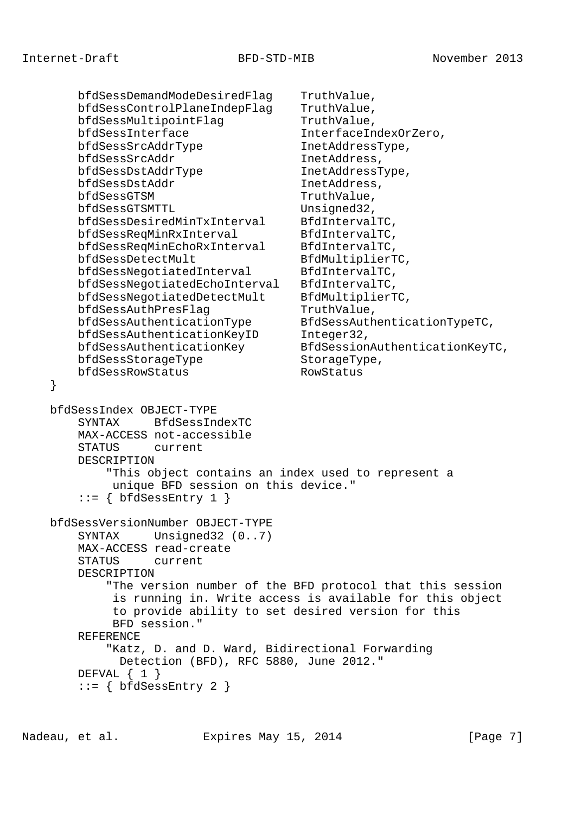}

 bfdSessDemandModeDesiredFlag TruthValue, bfdSessControlPlaneIndepFlag TruthValue, bfdSessMultipointFlag TruthValue, bfdSessInterface InterfaceIndexOrZero, bfdSessSrcAddrType InetAddressType, bfdSessSrcAddr InetAddress, bfdSessDstAddrType InetAddressType, bfdSessDstAddr InetAddress, bfdSessGTSM TruthValue, bfdSessGTSMTTL Unsigned32, bfdSessDesiredMinTxInterval BfdIntervalTC, bfdSessReqMinRxInterval BfdIntervalTC, bfdSessReqMinEchoRxInterval BfdIntervalTC, bfdSessDetectMult BfdMultiplierTC, bfdSessNegotiatedInterval BfdIntervalTC, bfdSessNegotiatedEchoInterval BfdIntervalTC, bfdSessNegotiatedDetectMult BfdMultiplierTC, bfdSessAuthPresFlag TruthValue, bfdSessAuthenticationType BfdSessAuthenticationTypeTC, bfdSessAuthenticationKeyID Integer32, bfdSessAuthenticationKey BfdSessionAuthenticationKeyTC, bfdSessStorageType StorageType, bfdSessRowStatus RowStatus bfdSessIndex OBJECT-TYPE SYNTAX BfdSessIndexTC MAX-ACCESS not-accessible STATUS current DESCRIPTION "This object contains an index used to represent a unique BFD session on this device."  $::=$  { bfdSessEntry 1 } bfdSessVersionNumber OBJECT-TYPE SYNTAX Unsigned32 (0..7) MAX-ACCESS read-create STATUS current DESCRIPTION "The version number of the BFD protocol that this session is running in. Write access is available for this object to provide ability to set desired version for this BFD session." REFERENCE "Katz, D. and D. Ward, Bidirectional Forwarding Detection (BFD), RFC 5880, June 2012." DEFVAL  $\{ 1 \}$ ::= { bfdSessEntry 2 }

Nadeau, et al. Expires May 15, 2014 [Page 7]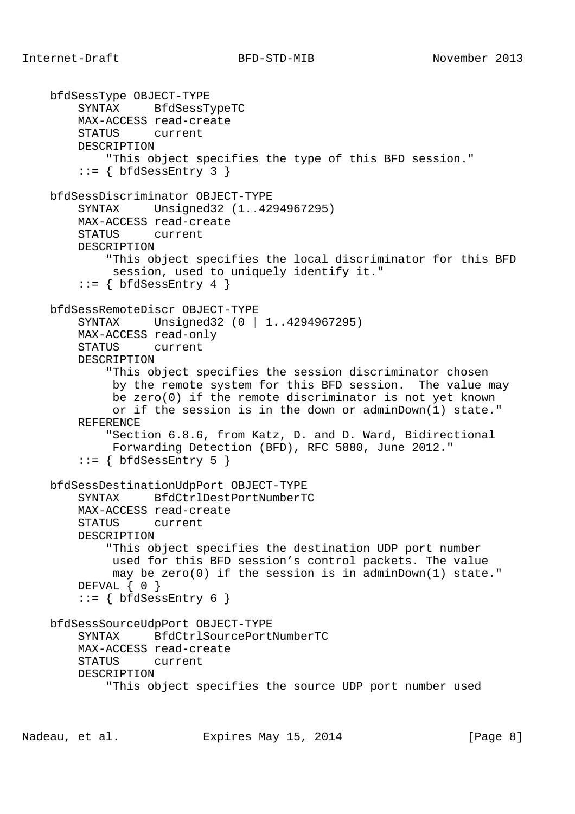```
 bfdSessType OBJECT-TYPE
     SYNTAX BfdSessTypeTC
     MAX-ACCESS read-create
     STATUS current
     DESCRIPTION
         "This object specifies the type of this BFD session."
    ::= { bfdSessEntry 3 }
 bfdSessDiscriminator OBJECT-TYPE
     SYNTAX Unsigned32 (1..4294967295)
     MAX-ACCESS read-create
     STATUS current
     DESCRIPTION
         "This object specifies the local discriminator for this BFD
          session, used to uniquely identify it."
    ::= { bfdSessEntry 4 }
 bfdSessRemoteDiscr OBJECT-TYPE
     SYNTAX Unsigned32 (0 | 1..4294967295)
     MAX-ACCESS read-only
     STATUS current
     DESCRIPTION
         "This object specifies the session discriminator chosen
          by the remote system for this BFD session. The value may
          be zero(0) if the remote discriminator is not yet known
          or if the session is in the down or adminDown(1) state."
     REFERENCE
         "Section 6.8.6, from Katz, D. and D. Ward, Bidirectional
          Forwarding Detection (BFD), RFC 5880, June 2012."
    ::= { bfdSessEntry 5 }
 bfdSessDestinationUdpPort OBJECT-TYPE
     SYNTAX BfdCtrlDestPortNumberTC
     MAX-ACCESS read-create
     STATUS current
     DESCRIPTION
         "This object specifies the destination UDP port number
          used for this BFD session's control packets. The value
          may be zero(0) if the session is in adminDown(1) state."
    DEFVAL \{ 0 \}::= { bfdSessEntry 6 }
 bfdSessSourceUdpPort OBJECT-TYPE
     SYNTAX BfdCtrlSourcePortNumberTC
     MAX-ACCESS read-create
     STATUS current
     DESCRIPTION
         "This object specifies the source UDP port number used
```
Nadeau, et al. Expires May 15, 2014 [Page 8]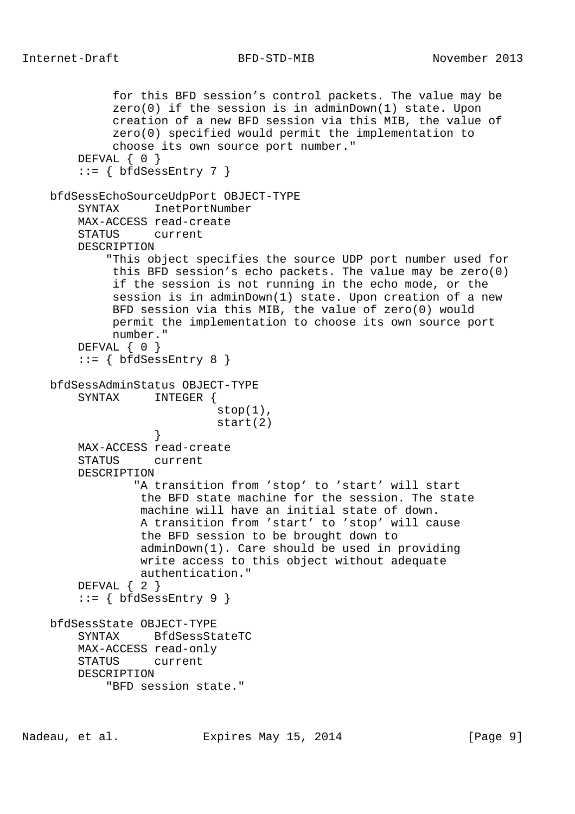```
 for this BFD session's control packets. The value may be
              zero(0) if the session is in adminDown(1) state. Upon
             creation of a new BFD session via this MIB, the value of
             zero(0) specified would permit the implementation to
             choose its own source port number."
       DEFVAL { 0 }
        ::= { bfdSessEntry 7 }
    bfdSessEchoSourceUdpPort OBJECT-TYPE
       SYNTAX InetPortNumber
        MAX-ACCESS read-create
        STATUS current
        DESCRIPTION
             "This object specifies the source UDP port number used for
             this BFD session's echo packets. The value may be zero(0)
             if the session is not running in the echo mode, or the
             session is in adminDown(1) state. Upon creation of a new
             BFD session via this MIB, the value of zero(0) would
             permit the implementation to choose its own source port
             number."
       DEFVAL { 0 }
       ::= { bfdSessEntry 8 }
    bfdSessAdminStatus OBJECT-TYPE
        SYNTAX INTEGER {
                            stop(1),
                             start(2)
 }
        MAX-ACCESS read-create
        STATUS current
        DESCRIPTION
                 "A transition from 'stop' to 'start' will start
                 the BFD state machine for the session. The state
                 machine will have an initial state of down.
                 A transition from 'start' to 'stop' will cause
                 the BFD session to be brought down to
                 adminDown(1). Care should be used in providing
                 write access to this object without adequate
                 authentication."
        DEFVAL { 2 }
       ::= { bfdSessEntry 9 }
    bfdSessState OBJECT-TYPE
        SYNTAX BfdSessStateTC
        MAX-ACCESS read-only
        STATUS current
        DESCRIPTION
            "BFD session state."
```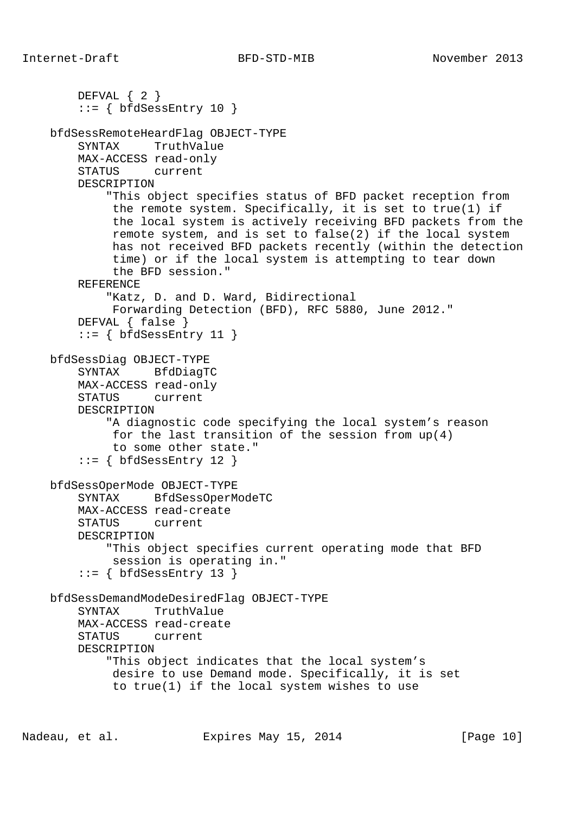```
 DEFVAL { 2 }
    ::= { bfdSessEntry 10 }
 bfdSessRemoteHeardFlag OBJECT-TYPE
     SYNTAX TruthValue
     MAX-ACCESS read-only
     STATUS current
     DESCRIPTION
         "This object specifies status of BFD packet reception from
          the remote system. Specifically, it is set to true(1) if
          the local system is actively receiving BFD packets from the
          remote system, and is set to false(2) if the local system
          has not received BFD packets recently (within the detection
          time) or if the local system is attempting to tear down
          the BFD session."
     REFERENCE
         "Katz, D. and D. Ward, Bidirectional
          Forwarding Detection (BFD), RFC 5880, June 2012."
     DEFVAL { false }
    ::= { bfdSessEntry 11 }
 bfdSessDiag OBJECT-TYPE
     SYNTAX BfdDiagTC
     MAX-ACCESS read-only
     STATUS current
     DESCRIPTION
         "A diagnostic code specifying the local system's reason
          for the last transition of the session from up(4)
          to some other state."
    ::= { bfdSessEntry 12 }
 bfdSessOperMode OBJECT-TYPE
     SYNTAX BfdSessOperModeTC
     MAX-ACCESS read-create
     STATUS current
     DESCRIPTION
         "This object specifies current operating mode that BFD
         session is operating in."
    ::= { bfdSessEntry 13 }
 bfdSessDemandModeDesiredFlag OBJECT-TYPE
     SYNTAX TruthValue
     MAX-ACCESS read-create
     STATUS current
     DESCRIPTION
         "This object indicates that the local system's
          desire to use Demand mode. Specifically, it is set
          to true(1) if the local system wishes to use
```
Nadeau, et al. Expires May 15, 2014 [Page 10]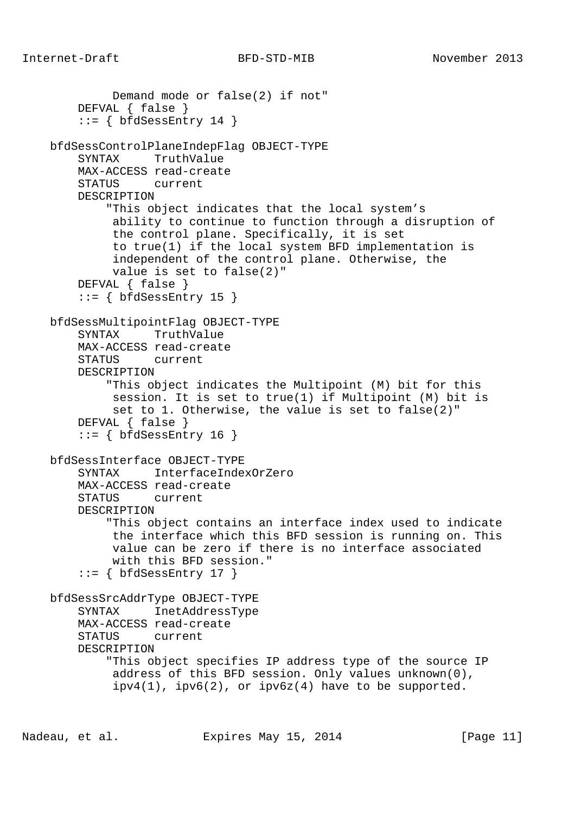```
 Demand mode or false(2) if not"
     DEFVAL { false }
    ::= { bfdSessEntry 14 }
 bfdSessControlPlaneIndepFlag OBJECT-TYPE
     SYNTAX TruthValue
     MAX-ACCESS read-create
     STATUS current
     DESCRIPTION
         "This object indicates that the local system's
          ability to continue to function through a disruption of
          the control plane. Specifically, it is set
          to true(1) if the local system BFD implementation is
          independent of the control plane. Otherwise, the
          value is set to false(2)"
     DEFVAL { false }
    ::= { bfdSessEntry 15 }
 bfdSessMultipointFlag OBJECT-TYPE
     SYNTAX TruthValue
     MAX-ACCESS read-create
     STATUS current
     DESCRIPTION
         "This object indicates the Multipoint (M) bit for this
         session. It is set to true(1) if Multipoint (M) bit is
         set to 1. Otherwise, the value is set to false(2)"
     DEFVAL { false }
    ::= { bfdSessEntry 16 }
 bfdSessInterface OBJECT-TYPE
     SYNTAX InterfaceIndexOrZero
     MAX-ACCESS read-create
     STATUS current
     DESCRIPTION
         "This object contains an interface index used to indicate
          the interface which this BFD session is running on. This
          value can be zero if there is no interface associated
         with this BFD session."
    ::= { bfdSessEntry 17 }
 bfdSessSrcAddrType OBJECT-TYPE
     SYNTAX InetAddressType
     MAX-ACCESS read-create
     STATUS current
     DESCRIPTION
         "This object specifies IP address type of the source IP
          address of this BFD session. Only values unknown(0),
         ipv4(1), ipv6(2), or ipv6z(4) have to be supported.
```
Nadeau, et al. Expires May 15, 2014 [Page 11]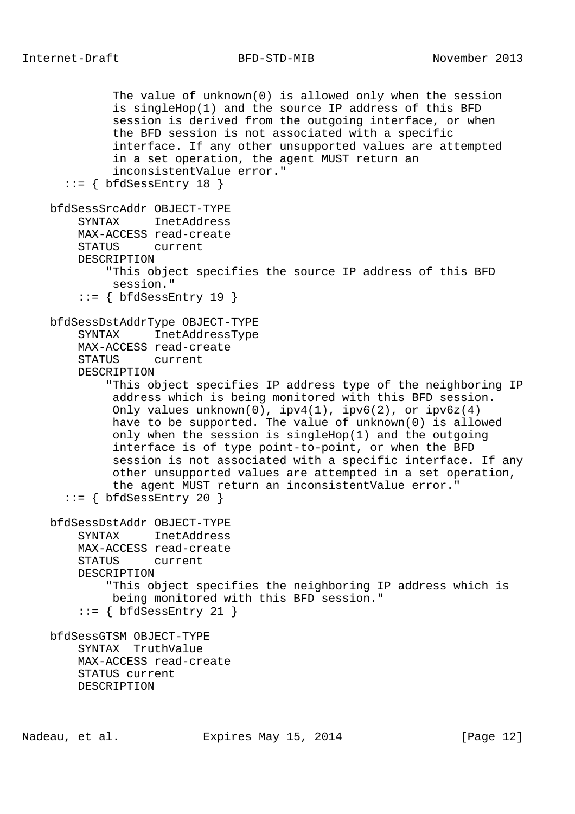```
 The value of unknown(0) is allowed only when the session
          is singleHop(1) and the source IP address of this BFD
          session is derived from the outgoing interface, or when
          the BFD session is not associated with a specific
          interface. If any other unsupported values are attempted
          in a set operation, the agent MUST return an
          inconsistentValue error."
  ::= { bfdSessEntry 18 }
 bfdSessSrcAddr OBJECT-TYPE
     SYNTAX InetAddress
     MAX-ACCESS read-create
     STATUS current
     DESCRIPTION
         "This object specifies the source IP address of this BFD
         session."
     ::= { bfdSessEntry 19 }
 bfdSessDstAddrType OBJECT-TYPE
     SYNTAX InetAddressType
     MAX-ACCESS read-create
     STATUS current
     DESCRIPTION
         "This object specifies IP address type of the neighboring IP
          address which is being monitored with this BFD session.
         Only values unknown(0), ipv4(1), ipv6(2), or ipv6z(4) have to be supported. The value of unknown(0) is allowed
          only when the session is singleHop(1) and the outgoing
          interface is of type point-to-point, or when the BFD
          session is not associated with a specific interface. If any
          other unsupported values are attempted in a set operation,
          the agent MUST return an inconsistentValue error."
  ::= { bfdSessEntry 20 }
 bfdSessDstAddr OBJECT-TYPE
     SYNTAX InetAddress
     MAX-ACCESS read-create
     STATUS current
     DESCRIPTION
         "This object specifies the neighboring IP address which is
          being monitored with this BFD session."
     ::= { bfdSessEntry 21 }
 bfdSessGTSM OBJECT-TYPE
     SYNTAX TruthValue
     MAX-ACCESS read-create
     STATUS current
     DESCRIPTION
```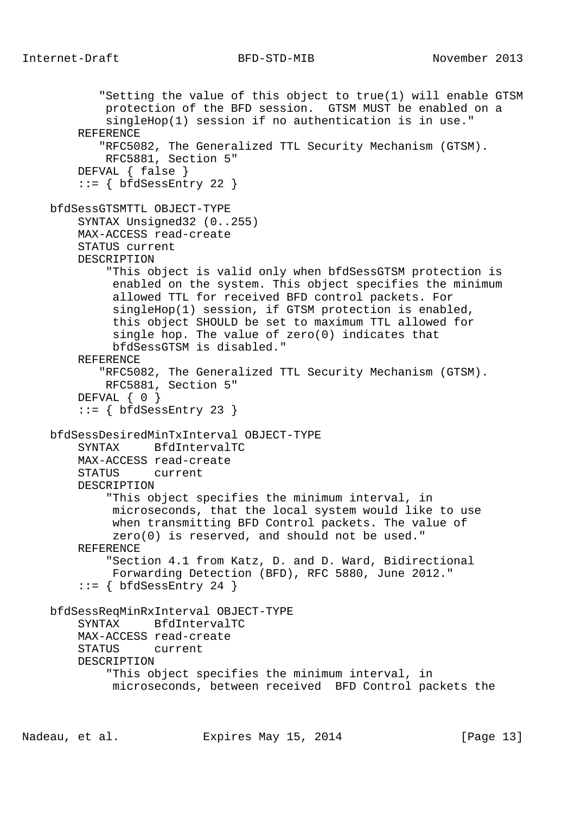```
 "Setting the value of this object to true(1) will enable GTSM
         protection of the BFD session. GTSM MUST be enabled on a
         singleHop(1) session if no authentication is in use."
     REFERENCE
        "RFC5082, The Generalized TTL Security Mechanism (GTSM).
         RFC5881, Section 5"
     DEFVAL { false }
    ::= { bfdSessEntry 22 }
 bfdSessGTSMTTL OBJECT-TYPE
     SYNTAX Unsigned32 (0..255)
     MAX-ACCESS read-create
     STATUS current
     DESCRIPTION
         "This object is valid only when bfdSessGTSM protection is
          enabled on the system. This object specifies the minimum
          allowed TTL for received BFD control packets. For
          singleHop(1) session, if GTSM protection is enabled,
          this object SHOULD be set to maximum TTL allowed for
          single hop. The value of zero(0) indicates that
          bfdSessGTSM is disabled."
     REFERENCE
        "RFC5082, The Generalized TTL Security Mechanism (GTSM).
         RFC5881, Section 5"
     DEFVAL { 0 }
    ::= { bfdSessEntry 23 }
 bfdSessDesiredMinTxInterval OBJECT-TYPE
     SYNTAX BfdIntervalTC
     MAX-ACCESS read-create
     STATUS current
     DESCRIPTION
         "This object specifies the minimum interval, in
          microseconds, that the local system would like to use
          when transmitting BFD Control packets. The value of
          zero(0) is reserved, and should not be used."
     REFERENCE
         "Section 4.1 from Katz, D. and D. Ward, Bidirectional
         Forwarding Detection (BFD), RFC 5880, June 2012."
    ::= { bfdSessEntry 24 }
 bfdSessReqMinRxInterval OBJECT-TYPE
     SYNTAX BfdIntervalTC
     MAX-ACCESS read-create
     STATUS current
     DESCRIPTION
         "This object specifies the minimum interval, in
          microseconds, between received BFD Control packets the
```
Nadeau, et al. Expires May 15, 2014 [Page 13]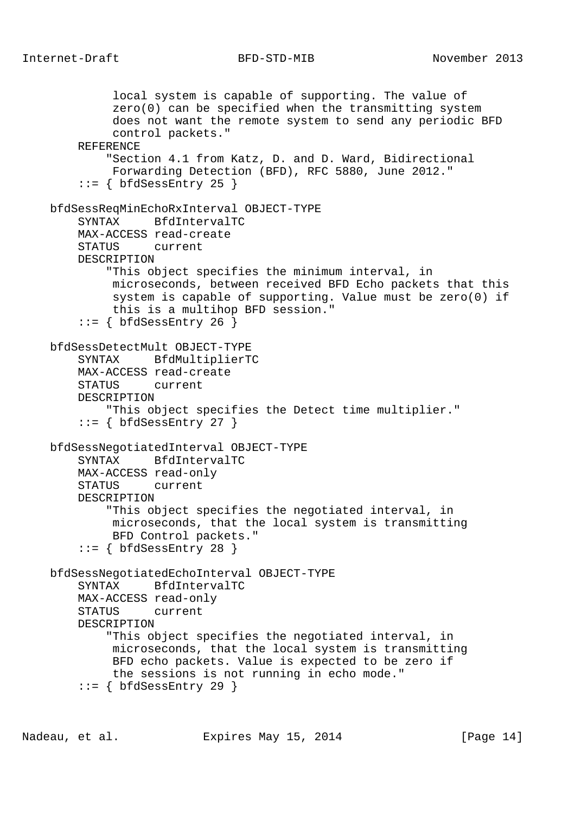local system is capable of supporting. The value of zero(0) can be specified when the transmitting system does not want the remote system to send any periodic BFD control packets." REFERENCE "Section 4.1 from Katz, D. and D. Ward, Bidirectional Forwarding Detection (BFD), RFC 5880, June 2012."  $::=$  { bfdSessEntry 25 } bfdSessReqMinEchoRxInterval OBJECT-TYPE SYNTAX BfdIntervalTC MAX-ACCESS read-create STATUS current DESCRIPTION "This object specifies the minimum interval, in microseconds, between received BFD Echo packets that this system is capable of supporting. Value must be zero(0) if this is a multihop BFD session."  $::=$  { bfdSessEntry 26 } bfdSessDetectMult OBJECT-TYPE SYNTAX BfdMultiplierTC MAX-ACCESS read-create STATUS current DESCRIPTION "This object specifies the Detect time multiplier."  $::=$  { bfdSessEntry 27 } bfdSessNegotiatedInterval OBJECT-TYPE SYNTAX BfdIntervalTC MAX-ACCESS read-only STATUS current DESCRIPTION "This object specifies the negotiated interval, in microseconds, that the local system is transmitting BFD Control packets."  $::=$  { bfdSessEntry 28 } bfdSessNegotiatedEchoInterval OBJECT-TYPE SYNTAX BfdIntervalTC MAX-ACCESS read-only STATUS current DESCRIPTION "This object specifies the negotiated interval, in microseconds, that the local system is transmitting BFD echo packets. Value is expected to be zero if the sessions is not running in echo mode."  $::=$  { bfdSessEntry 29 }

Nadeau, et al. Expires May 15, 2014 [Page 14]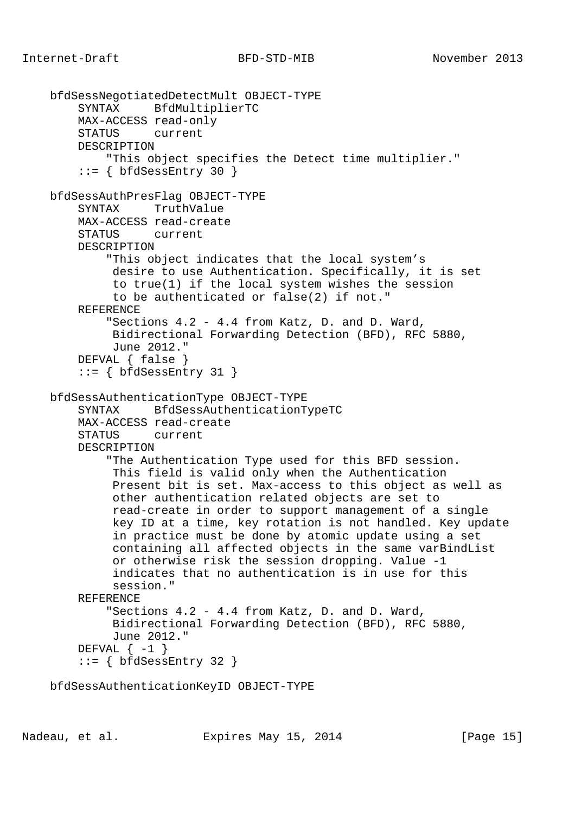```
 bfdSessNegotiatedDetectMult OBJECT-TYPE
     SYNTAX BfdMultiplierTC
     MAX-ACCESS read-only
     STATUS current
     DESCRIPTION
         "This object specifies the Detect time multiplier."
    ::= { bfdSessEntry 30 }
 bfdSessAuthPresFlag OBJECT-TYPE
     SYNTAX TruthValue
     MAX-ACCESS read-create
     STATUS current
     DESCRIPTION
         "This object indicates that the local system's
          desire to use Authentication. Specifically, it is set
          to true(1) if the local system wishes the session
          to be authenticated or false(2) if not."
     REFERENCE
         "Sections 4.2 - 4.4 from Katz, D. and D. Ward,
          Bidirectional Forwarding Detection (BFD), RFC 5880,
          June 2012."
     DEFVAL { false }
    ::= { bfdSessEntry 31 }
 bfdSessAuthenticationType OBJECT-TYPE
     SYNTAX BfdSessAuthenticationTypeTC
     MAX-ACCESS read-create
     STATUS current
     DESCRIPTION
         "The Authentication Type used for this BFD session.
          This field is valid only when the Authentication
          Present bit is set. Max-access to this object as well as
          other authentication related objects are set to
          read-create in order to support management of a single
          key ID at a time, key rotation is not handled. Key update
          in practice must be done by atomic update using a set
          containing all affected objects in the same varBindList
          or otherwise risk the session dropping. Value -1
          indicates that no authentication is in use for this
          session."
     REFERENCE
         "Sections 4.2 - 4.4 from Katz, D. and D. Ward,
          Bidirectional Forwarding Detection (BFD), RFC 5880,
          June 2012."
    DEFVAL \{-1\}::= { bfdSessEntry 32 }
```
bfdSessAuthenticationKeyID OBJECT-TYPE

Nadeau, et al. Expires May 15, 2014 [Page 15]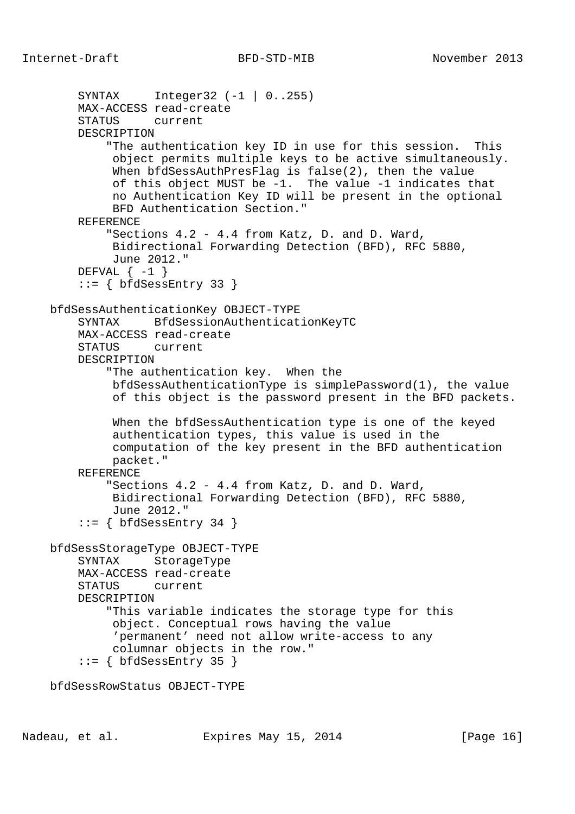```
 SYNTAX Integer32 (-1 | 0..255)
     MAX-ACCESS read-create
     STATUS current
     DESCRIPTION
         "The authentication key ID in use for this session. This
          object permits multiple keys to be active simultaneously.
          When bfdSessAuthPresFlag is false(2), then the value
          of this object MUST be -1. The value -1 indicates that
          no Authentication Key ID will be present in the optional
          BFD Authentication Section."
     REFERENCE
         "Sections 4.2 - 4.4 from Katz, D. and D. Ward,
          Bidirectional Forwarding Detection (BFD), RFC 5880,
          June 2012."
    DEFVAL \{-1\} ::= { bfdSessEntry 33 }
 bfdSessAuthenticationKey OBJECT-TYPE
     SYNTAX BfdSessionAuthenticationKeyTC
     MAX-ACCESS read-create
     STATUS current
     DESCRIPTION
         "The authentication key. When the
          bfdSessAuthenticationType is simplePassword(1), the value
          of this object is the password present in the BFD packets.
          When the bfdSessAuthentication type is one of the keyed
          authentication types, this value is used in the
          computation of the key present in the BFD authentication
          packet."
     REFERENCE
         "Sections 4.2 - 4.4 from Katz, D. and D. Ward,
          Bidirectional Forwarding Detection (BFD), RFC 5880,
          June 2012."
    ::= { bfdSessEntry 34 }
 bfdSessStorageType OBJECT-TYPE
     SYNTAX StorageType
     MAX-ACCESS read-create
     STATUS current
     DESCRIPTION
         "This variable indicates the storage type for this
          object. Conceptual rows having the value
          'permanent' need not allow write-access to any
          columnar objects in the row."
    ::= { bfdSessEntry 35 }
 bfdSessRowStatus OBJECT-TYPE
```
Nadeau, et al. Expires May 15, 2014 [Page 16]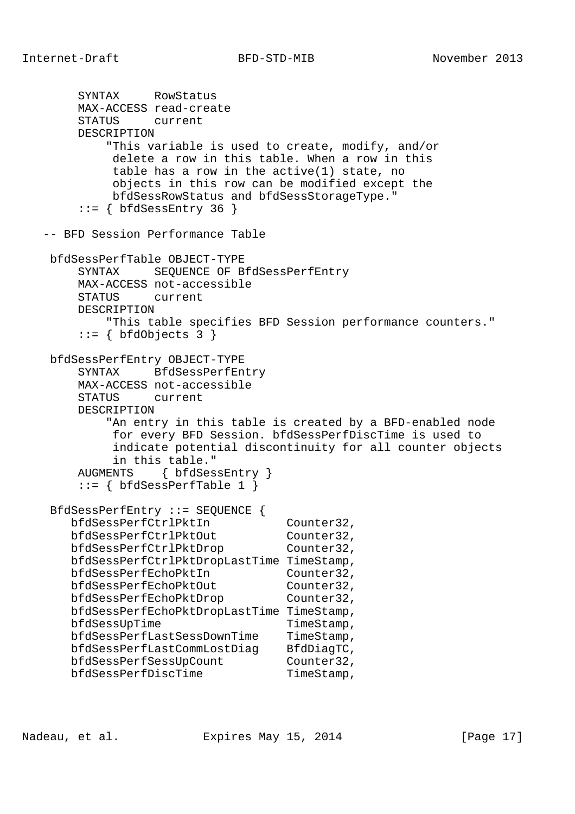```
 SYNTAX RowStatus
        MAX-ACCESS read-create
        STATUS current
        DESCRIPTION
            "This variable is used to create, modify, and/or
            delete a row in this table. When a row in this
            table has a row in the active(1) state, no
            objects in this row can be modified except the
            bfdSessRowStatus and bfdSessStorageType."
       ::= { bfdSessEntry 36 }
   -- BFD Session Performance Table
    bfdSessPerfTable OBJECT-TYPE
        SYNTAX SEQUENCE OF BfdSessPerfEntry
        MAX-ACCESS not-accessible
        STATUS current
        DESCRIPTION
           "This table specifies BFD Session performance counters."
       ::= { bfdObjects 3 }
    bfdSessPerfEntry OBJECT-TYPE
        SYNTAX BfdSessPerfEntry
        MAX-ACCESS not-accessible
        STATUS current
        DESCRIPTION
           "An entry in this table is created by a BFD-enabled node
            for every BFD Session. bfdSessPerfDiscTime is used to
            indicate potential discontinuity for all counter objects
            in this table."
        AUGMENTS { bfdSessEntry }
       ::= \{ bfdSessPerfTable 1 \} BfdSessPerfEntry ::= SEQUENCE {
 bfdSessPerfCtrlPktIn Counter32,
bfdSessPerfCtrlPktOut Counter32,
bfdSessPerfCtrlPktDrop Counter32,
       bfdSessPerfCtrlPktDropLastTime TimeStamp,
 bfdSessPerfEchoPktIn Counter32,
bfdSessPerfEchoPktOut Counter32,
bfdSessPerfEchoPktDrop Counter32,
       bfdSessPerfEchoPktDropLastTime TimeStamp,
      bfdSessUpTime TimeStamp,
      bfdSessPerfLastSessDownTime TimeStamp,
 bfdSessPerfLastCommLostDiag BfdDiagTC,
bfdSessPerfSessUpCount Counter32,
bfdSessPerfDiscTime TimeStamp,
```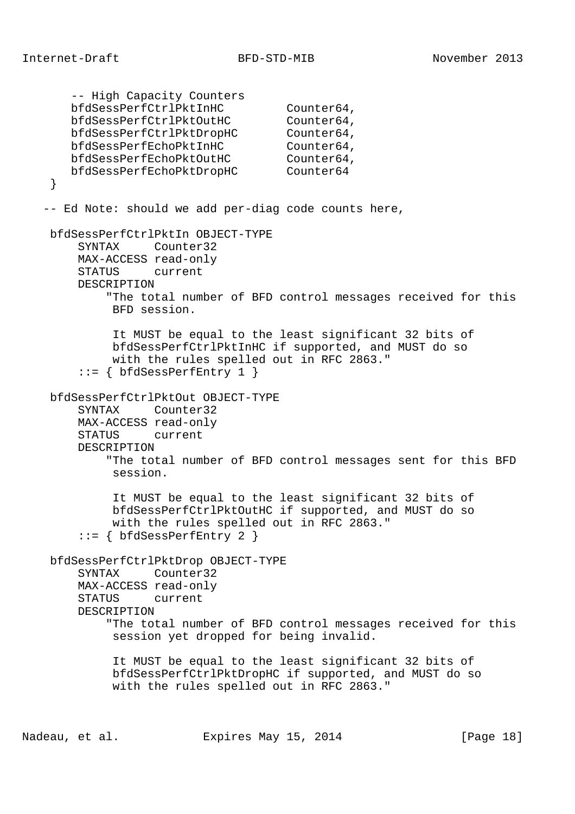-- High Capacity Counters bfdSessPerfCtrlPktInHC Counter64, bfdSessPerfCtrlPktOutHC Counter64, bfdSessPerfCtrlPktDropHC Counter64, bfdSessPerfEchoPktInHC Counter64, bfdSessPerfEchoPktOutHC Counter64, bfdSessPerfEchoPktDropHC Counter64 } -- Ed Note: should we add per-diag code counts here, bfdSessPerfCtrlPktIn OBJECT-TYPE SYNTAX Counter32 MAX-ACCESS read-only STATUS current DESCRIPTION "The total number of BFD control messages received for this BFD session. It MUST be equal to the least significant 32 bits of bfdSessPerfCtrlPktInHC if supported, and MUST do so with the rules spelled out in RFC 2863." ::= { bfdSessPerfEntry 1 } bfdSessPerfCtrlPktOut OBJECT-TYPE SYNTAX Counter32 MAX-ACCESS read-only STATUS current DESCRIPTION "The total number of BFD control messages sent for this BFD session. It MUST be equal to the least significant 32 bits of bfdSessPerfCtrlPktOutHC if supported, and MUST do so with the rules spelled out in RFC 2863." ::= { bfdSessPerfEntry 2 } bfdSessPerfCtrlPktDrop OBJECT-TYPE SYNTAX Counter32 MAX-ACCESS read-only STATUS current DESCRIPTION "The total number of BFD control messages received for this session yet dropped for being invalid. It MUST be equal to the least significant 32 bits of bfdSessPerfCtrlPktDropHC if supported, and MUST do so with the rules spelled out in RFC 2863."

Nadeau, et al. Expires May 15, 2014 [Page 18]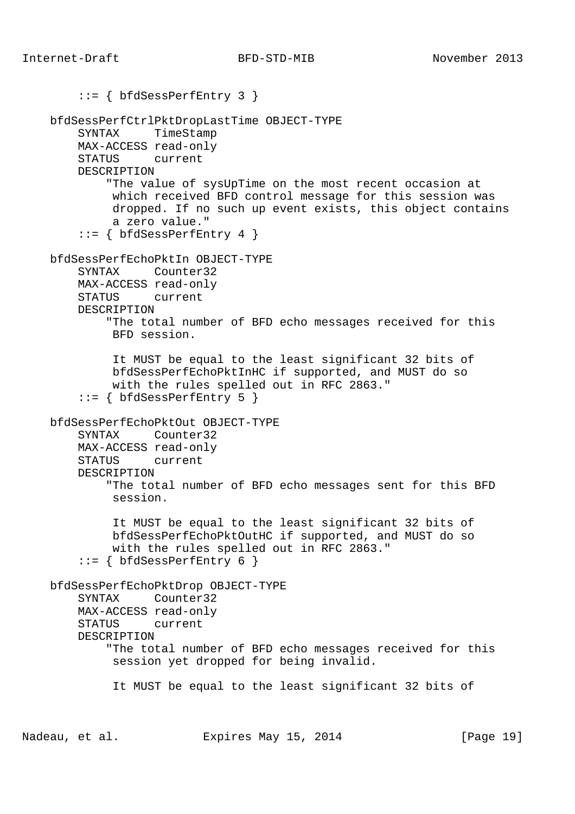```
 ::= { bfdSessPerfEntry 3 }
 bfdSessPerfCtrlPktDropLastTime OBJECT-TYPE
     SYNTAX TimeStamp
     MAX-ACCESS read-only
     STATUS current
     DESCRIPTION
         "The value of sysUpTime on the most recent occasion at
          which received BFD control message for this session was
          dropped. If no such up event exists, this object contains
          a zero value."
    ::= { bfdSessPerfEntry 4 }
 bfdSessPerfEchoPktIn OBJECT-TYPE
     SYNTAX Counter32
     MAX-ACCESS read-only
     STATUS current
     DESCRIPTION
         "The total number of BFD echo messages received for this
         BFD session.
          It MUST be equal to the least significant 32 bits of
          bfdSessPerfEchoPktInHC if supported, and MUST do so
          with the rules spelled out in RFC 2863."
     ::= { bfdSessPerfEntry 5 }
 bfdSessPerfEchoPktOut OBJECT-TYPE
     SYNTAX Counter32
     MAX-ACCESS read-only
     STATUS current
     DESCRIPTION
         "The total number of BFD echo messages sent for this BFD
         session.
          It MUST be equal to the least significant 32 bits of
          bfdSessPerfEchoPktOutHC if supported, and MUST do so
          with the rules spelled out in RFC 2863."
    ::= { bfdSessPerfEntry 6 }
 bfdSessPerfEchoPktDrop OBJECT-TYPE
     SYNTAX Counter32
     MAX-ACCESS read-only
     STATUS current
     DESCRIPTION
         "The total number of BFD echo messages received for this
          session yet dropped for being invalid.
          It MUST be equal to the least significant 32 bits of
```
Nadeau, et al. Expires May 15, 2014 [Page 19]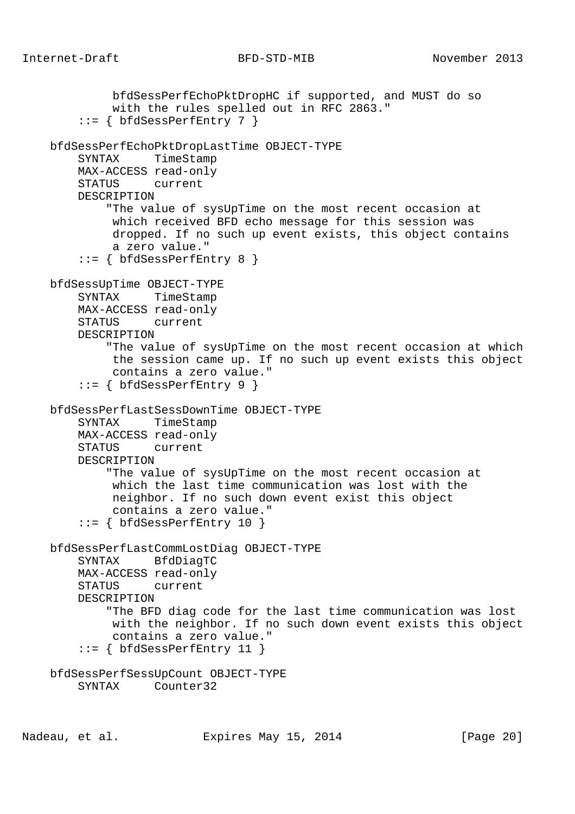bfdSessPerfEchoPktDropHC if supported, and MUST do so with the rules spelled out in RFC 2863." ::= { bfdSessPerfEntry 7 } bfdSessPerfEchoPktDropLastTime OBJECT-TYPE SYNTAX TimeStamp MAX-ACCESS read-only STATUS current DESCRIPTION "The value of sysUpTime on the most recent occasion at which received BFD echo message for this session was dropped. If no such up event exists, this object contains a zero value."  $::=$  { bfdSessPerfEntry 8 } bfdSessUpTime OBJECT-TYPE SYNTAX TimeStamp MAX-ACCESS read-only STATUS current DESCRIPTION "The value of sysUpTime on the most recent occasion at which the session came up. If no such up event exists this object contains a zero value." ::= { bfdSessPerfEntry 9 } bfdSessPerfLastSessDownTime OBJECT-TYPE SYNTAX TimeStamp MAX-ACCESS read-only STATUS current DESCRIPTION "The value of sysUpTime on the most recent occasion at which the last time communication was lost with the neighbor. If no such down event exist this object contains a zero value."  $::=$  { bfdSessPerfEntry 10 } bfdSessPerfLastCommLostDiag OBJECT-TYPE SYNTAX BfdDiagTC MAX-ACCESS read-only STATUS current DESCRIPTION "The BFD diag code for the last time communication was lost with the neighbor. If no such down event exists this object contains a zero value." ::= { bfdSessPerfEntry 11 } bfdSessPerfSessUpCount OBJECT-TYPE SYNTAX Counter32

Nadeau, et al. Expires May 15, 2014 [Page 20]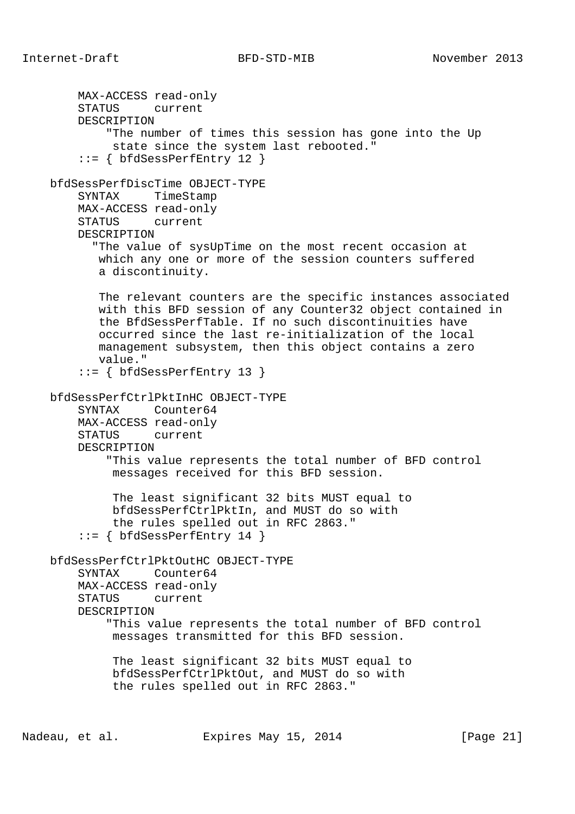MAX-ACCESS read-only STATUS current DESCRIPTION "The number of times this session has gone into the Up state since the system last rebooted." ::= { bfdSessPerfEntry 12 } bfdSessPerfDiscTime OBJECT-TYPE SYNTAX TimeStamp MAX-ACCESS read-only STATUS current DESCRIPTION "The value of sysUpTime on the most recent occasion at which any one or more of the session counters suffered a discontinuity. The relevant counters are the specific instances associated with this BFD session of any Counter32 object contained in the BfdSessPerfTable. If no such discontinuities have occurred since the last re-initialization of the local management subsystem, then this object contains a zero value." ::= { bfdSessPerfEntry 13 } bfdSessPerfCtrlPktInHC OBJECT-TYPE SYNTAX Counter64 MAX-ACCESS read-only STATUS current DESCRIPTION "This value represents the total number of BFD control messages received for this BFD session. The least significant 32 bits MUST equal to bfdSessPerfCtrlPktIn, and MUST do so with the rules spelled out in RFC 2863." ::= { bfdSessPerfEntry 14 } bfdSessPerfCtrlPktOutHC OBJECT-TYPE SYNTAX Counter64 MAX-ACCESS read-only STATUS current DESCRIPTION "This value represents the total number of BFD control messages transmitted for this BFD session. The least significant 32 bits MUST equal to bfdSessPerfCtrlPktOut, and MUST do so with the rules spelled out in RFC 2863."

Nadeau, et al. Expires May 15, 2014 [Page 21]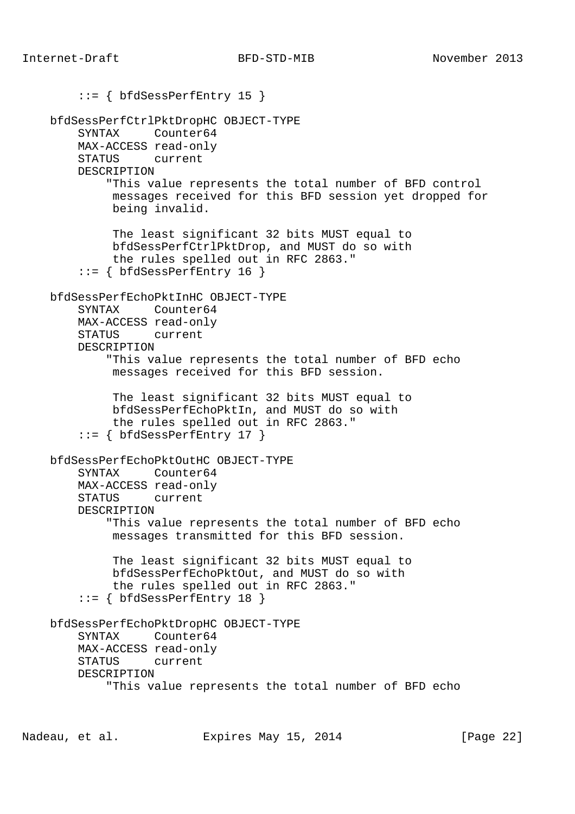```
 ::= { bfdSessPerfEntry 15 }
 bfdSessPerfCtrlPktDropHC OBJECT-TYPE
     SYNTAX Counter64
     MAX-ACCESS read-only
     STATUS current
     DESCRIPTION
         "This value represents the total number of BFD control
          messages received for this BFD session yet dropped for
          being invalid.
          The least significant 32 bits MUST equal to
          bfdSessPerfCtrlPktDrop, and MUST do so with
          the rules spelled out in RFC 2863."
    ::= { bfdSessPerfEntry 16 }
 bfdSessPerfEchoPktInHC OBJECT-TYPE
     SYNTAX Counter64
     MAX-ACCESS read-only
     STATUS current
     DESCRIPTION
         "This value represents the total number of BFD echo
          messages received for this BFD session.
          The least significant 32 bits MUST equal to
          bfdSessPerfEchoPktIn, and MUST do so with
          the rules spelled out in RFC 2863."
    ::= { bfdSessPerfEntry 17 }
 bfdSessPerfEchoPktOutHC OBJECT-TYPE
     SYNTAX Counter64
     MAX-ACCESS read-only
     STATUS current
     DESCRIPTION
         "This value represents the total number of BFD echo
          messages transmitted for this BFD session.
          The least significant 32 bits MUST equal to
          bfdSessPerfEchoPktOut, and MUST do so with
          the rules spelled out in RFC 2863."
    ::= { bfdSessPerfEntry 18 }
 bfdSessPerfEchoPktDropHC OBJECT-TYPE
     SYNTAX Counter64
     MAX-ACCESS read-only
     STATUS current
     DESCRIPTION
         "This value represents the total number of BFD echo
```
Nadeau, et al. Expires May 15, 2014 [Page 22]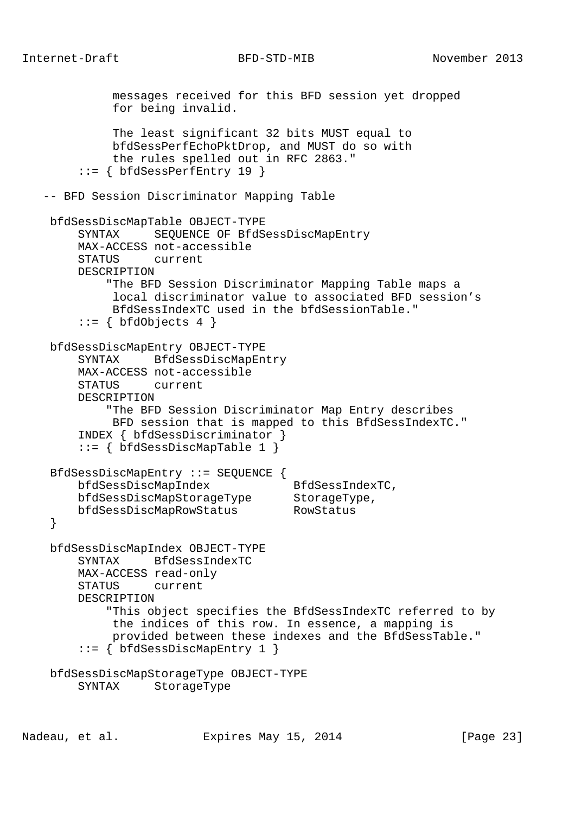```
 messages received for this BFD session yet dropped
             for being invalid.
             The least significant 32 bits MUST equal to
             bfdSessPerfEchoPktDrop, and MUST do so with
             the rules spelled out in RFC 2863."
        ::= { bfdSessPerfEntry 19 }
   -- BFD Session Discriminator Mapping Table
    bfdSessDiscMapTable OBJECT-TYPE
        SYNTAX SEQUENCE OF BfdSessDiscMapEntry
        MAX-ACCESS not-accessible
        STATUS current
        DESCRIPTION
            "The BFD Session Discriminator Mapping Table maps a
             local discriminator value to associated BFD session's
             BfdSessIndexTC used in the bfdSessionTable."
       ::= { bfdObjects 4 }
    bfdSessDiscMapEntry OBJECT-TYPE
        SYNTAX BfdSessDiscMapEntry
        MAX-ACCESS not-accessible
        STATUS current
        DESCRIPTION
            "The BFD Session Discriminator Map Entry describes
             BFD session that is mapped to this BfdSessIndexTC."
        INDEX { bfdSessDiscriminator }
        ::= { bfdSessDiscMapTable 1 }
    BfdSessDiscMapEntry ::= SEQUENCE {
       bfdSessDiscMapIndex BfdSessIndexTC,
bfdSessDiscMapStorageType StorageType,
 bfdSessDiscMapRowStatus RowStatus
    }
    bfdSessDiscMapIndex OBJECT-TYPE
        SYNTAX BfdSessIndexTC
        MAX-ACCESS read-only
        STATUS current
        DESCRIPTION
            "This object specifies the BfdSessIndexTC referred to by
             the indices of this row. In essence, a mapping is
             provided between these indexes and the BfdSessTable."
        ::= { bfdSessDiscMapEntry 1 }
    bfdSessDiscMapStorageType OBJECT-TYPE
        SYNTAX StorageType
```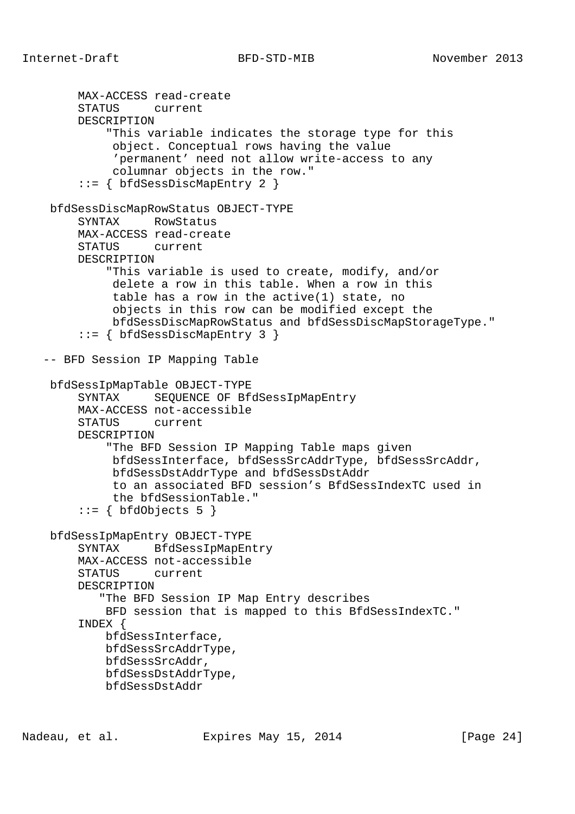```
 MAX-ACCESS read-create
      STATUS current
      DESCRIPTION
          "This variable indicates the storage type for this
           object. Conceptual rows having the value
           'permanent' need not allow write-access to any
           columnar objects in the row."
      ::= { bfdSessDiscMapEntry 2 }
 bfdSessDiscMapRowStatus OBJECT-TYPE
      SYNTAX RowStatus
      MAX-ACCESS read-create
      STATUS current
      DESCRIPTION
          "This variable is used to create, modify, and/or
           delete a row in this table. When a row in this
           table has a row in the active(1) state, no
           objects in this row can be modified except the
           bfdSessDiscMapRowStatus and bfdSessDiscMapStorageType."
      ::= { bfdSessDiscMapEntry 3 }
 -- BFD Session IP Mapping Table
 bfdSessIpMapTable OBJECT-TYPE
      SYNTAX SEQUENCE OF BfdSessIpMapEntry
      MAX-ACCESS not-accessible
      STATUS current
      DESCRIPTION
          "The BFD Session IP Mapping Table maps given
           bfdSessInterface, bfdSessSrcAddrType, bfdSessSrcAddr,
           bfdSessDstAddrType and bfdSessDstAddr
           to an associated BFD session's BfdSessIndexTC used in
           the bfdSessionTable."
     ::= { bfdObjects 5 }
 bfdSessIpMapEntry OBJECT-TYPE
      SYNTAX BfdSessIpMapEntry
      MAX-ACCESS not-accessible
      STATUS current
      DESCRIPTION
         "The BFD Session IP Map Entry describes
          BFD session that is mapped to this BfdSessIndexTC."
      INDEX {
         bfdSessInterface,
          bfdSessSrcAddrType,
          bfdSessSrcAddr,
          bfdSessDstAddrType,
          bfdSessDstAddr
```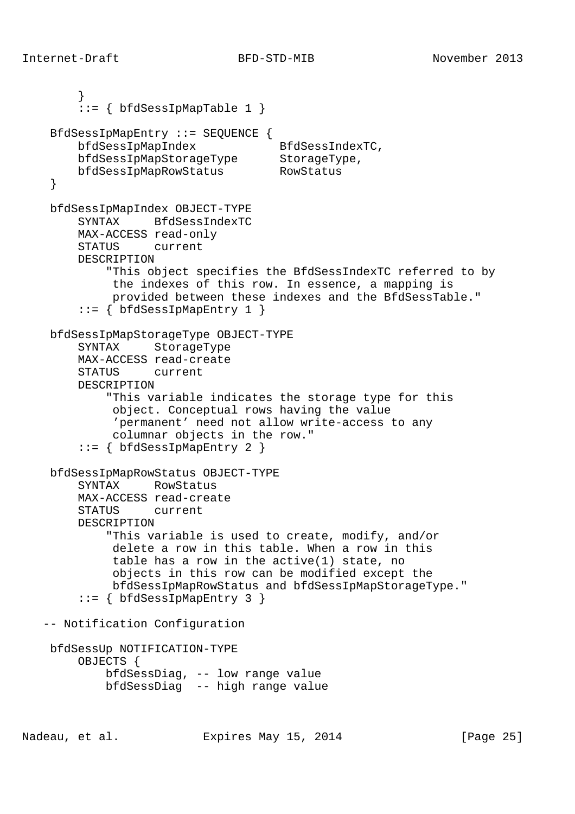```
 }
       ::= \{ bfdSessIpMapTable 1 \} BfdSessIpMapEntry ::= SEQUENCE {
bfdSessIpMapIndex BfdSessIndexTC,
 bfdSessIpMapStorageType StorageType,
 bfdSessIpMapRowStatus RowStatus
    }
    bfdSessIpMapIndex OBJECT-TYPE
        SYNTAX BfdSessIndexTC
        MAX-ACCESS read-only
        STATUS current
        DESCRIPTION
            "This object specifies the BfdSessIndexTC referred to by
             the indexes of this row. In essence, a mapping is
             provided between these indexes and the BfdSessTable."
       ::= \{ bfdSessIpMapEntry 1 \} bfdSessIpMapStorageType OBJECT-TYPE
        SYNTAX StorageType
        MAX-ACCESS read-create
        STATUS current
        DESCRIPTION
            "This variable indicates the storage type for this
             object. Conceptual rows having the value
             'permanent' need not allow write-access to any
             columnar objects in the row."
        ::= { bfdSessIpMapEntry 2 }
    bfdSessIpMapRowStatus OBJECT-TYPE
        SYNTAX RowStatus
        MAX-ACCESS read-create
        STATUS current
        DESCRIPTION
            "This variable is used to create, modify, and/or
             delete a row in this table. When a row in this
             table has a row in the active(1) state, no
             objects in this row can be modified except the
             bfdSessIpMapRowStatus and bfdSessIpMapStorageType."
       ::= { bfdSessIpMapEntry 3 }
   -- Notification Configuration
    bfdSessUp NOTIFICATION-TYPE
        OBJECTS {
            bfdSessDiag, -- low range value
            bfdSessDiag -- high range value
```
Nadeau, et al. Expires May 15, 2014 [Page 25]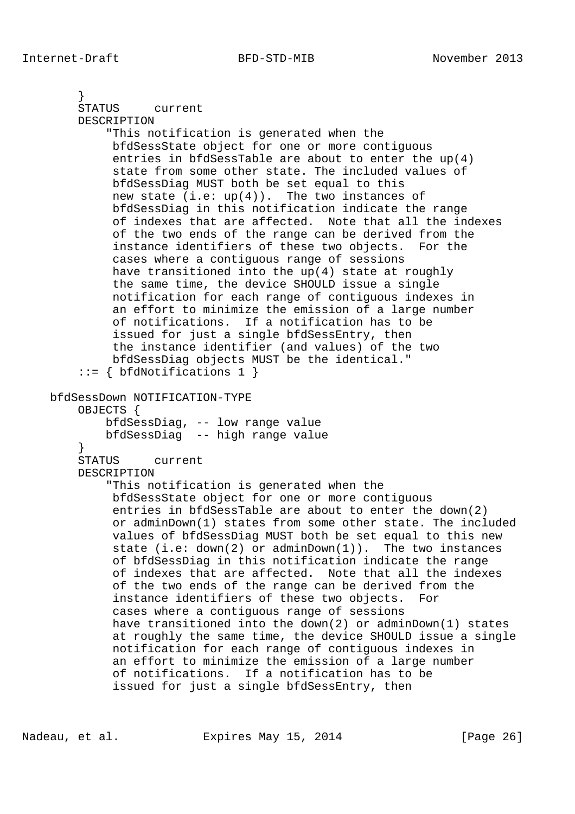```
 }
     STATUS current
     DESCRIPTION
         "This notification is generated when the
          bfdSessState object for one or more contiguous
          entries in bfdSessTable are about to enter the up(4)
          state from some other state. The included values of
          bfdSessDiag MUST both be set equal to this
         new state (i.e: up(4)). The two instances of
          bfdSessDiag in this notification indicate the range
          of indexes that are affected. Note that all the indexes
          of the two ends of the range can be derived from the
          instance identifiers of these two objects. For the
          cases where a contiguous range of sessions
          have transitioned into the up(4) state at roughly
          the same time, the device SHOULD issue a single
          notification for each range of contiguous indexes in
          an effort to minimize the emission of a large number
          of notifications. If a notification has to be
          issued for just a single bfdSessEntry, then
          the instance identifier (and values) of the two
          bfdSessDiag objects MUST be the identical."
     ::= { bfdNotifications 1 }
 bfdSessDown NOTIFICATION-TYPE
     OBJECTS {
         bfdSessDiag, -- low range value
         bfdSessDiag -- high range value
     }
     STATUS current
     DESCRIPTION
         "This notification is generated when the
          bfdSessState object for one or more contiguous
          entries in bfdSessTable are about to enter the down(2)
          or adminDown(1) states from some other state. The included
          values of bfdSessDiag MUST both be set equal to this new
          state (i.e: down(2) or adminDown(1)). The two instances
          of bfdSessDiag in this notification indicate the range
          of indexes that are affected. Note that all the indexes
          of the two ends of the range can be derived from the
          instance identifiers of these two objects. For
          cases where a contiguous range of sessions
          have transitioned into the down(2) or adminDown(1) states
          at roughly the same time, the device SHOULD issue a single
          notification for each range of contiguous indexes in
          an effort to minimize the emission of a large number
          of notifications. If a notification has to be
          issued for just a single bfdSessEntry, then
```
Nadeau, et al. Expires May 15, 2014 [Page 26]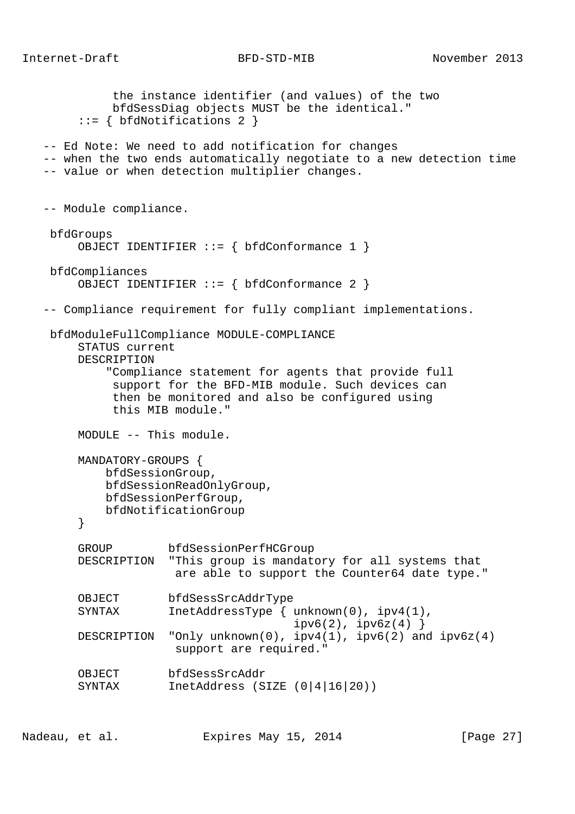```
 the instance identifier (and values) of the two
          bfdSessDiag objects MUST be the identical."
      ::= { bfdNotifications 2 }
 -- Ed Note: We need to add notification for changes
 -- when the two ends automatically negotiate to a new detection time
 -- value or when detection multiplier changes.
 -- Module compliance.
 bfdGroups
     OBJECT IDENTIFIER ::= { bfdConformance 1 }
 bfdCompliances
     OBJECT IDENTIFIER ::= { bfdConformance 2 }
 -- Compliance requirement for fully compliant implementations.
 bfdModuleFullCompliance MODULE-COMPLIANCE
     STATUS current
     DESCRIPTION
          "Compliance statement for agents that provide full
           support for the BFD-MIB module. Such devices can
          then be monitored and also be configured using
          this MIB module."
     MODULE -- This module.
     MANDATORY-GROUPS {
         bfdSessionGroup,
         bfdSessionReadOnlyGroup,
         bfdSessionPerfGroup,
         bfdNotificationGroup
      }
     GROUP bfdSessionPerfHCGroup
     DESCRIPTION "This group is mandatory for all systems that
                   are able to support the Counter64 date type."
     OBJECT bfdSessSrcAddrType
     SYNTAX InetAddressType { unknown(0), ipv4(1),
                                    ipv6(2), ipv6z(4) }
    DESCRIPTION "Only unknown(0), ipv4(1), ipv6(2) and ipv6z(4) support are required."
     OBJECT bfdSessSrcAddr
     SYNTAX InetAddress (SIZE (0|4|16|20))
```
Nadeau, et al. Expires May 15, 2014 [Page 27]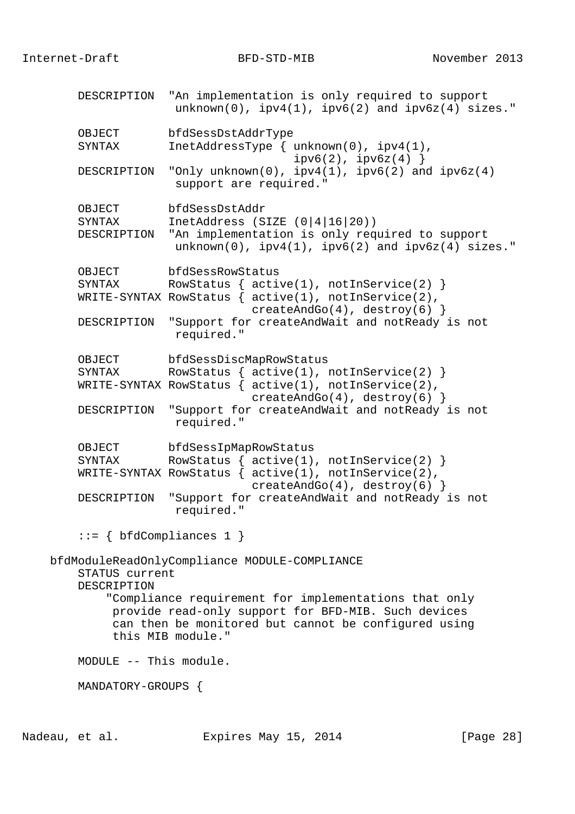DESCRIPTION "An implementation is only required to support  $unknown(0)$ ,  $ipv4(1)$ ,  $ipv6(2)$  and  $ipv6z(4)$  sizes." OBJECT bfdSessDstAddrType SYNTAX InetAddressType { unknown(0), ipv4(1),  $ipv6(2)$ ,  $ipv6z(4)$  } DESCRIPTION "Only unknown(0), ipv4(1), ipv6(2) and ipv6z(4) support are required." OBJECT bfdSessDstAddr<br>SYNTAX InetAddress (S InetAddress (SIZE  $(0|4|16|20)$ ) DESCRIPTION "An implementation is only required to support unknown(0), ipv4(1), ipv6(2) and ipv6z(4) sizes." OBJECT bfdSessRowStatus SYNTAX RowStatus {  $active(1)$ ,  $notInService(2)$  } WRITE-SYNTAX RowStatus { active(1), notInService(2), createAndGo(4), destroy(6) } DESCRIPTION "Support for createAndWait and notReady is not required." OBJECT bfdSessDiscMapRowStatus SYNTAX RowStatus {  $active(1)$ ,  $notInService(2)$  } WRITE-SYNTAX RowStatus { active(1), notInService(2), createAndGo(4), destroy(6) } DESCRIPTION "Support for createAndWait and notReady is not required." OBJECT bfdSessIpMapRowStatus SYNTAX RowStatus {  $active(1)$ ,  $notInService(2)$  } WRITE-SYNTAX RowStatus  $\{$  active(1), notInService(2), createAndGo(4), destroy(6)  $\}$  DESCRIPTION "Support for createAndWait and notReady is not required."  $::= \{ bfdCompliances 1 \}$  bfdModuleReadOnlyCompliance MODULE-COMPLIANCE STATUS current DESCRIPTION "Compliance requirement for implementations that only provide read-only support for BFD-MIB. Such devices can then be monitored but cannot be configured using this MIB module." MODULE -- This module. MANDATORY-GROUPS {

Nadeau, et al. Expires May 15, 2014 [Page 28]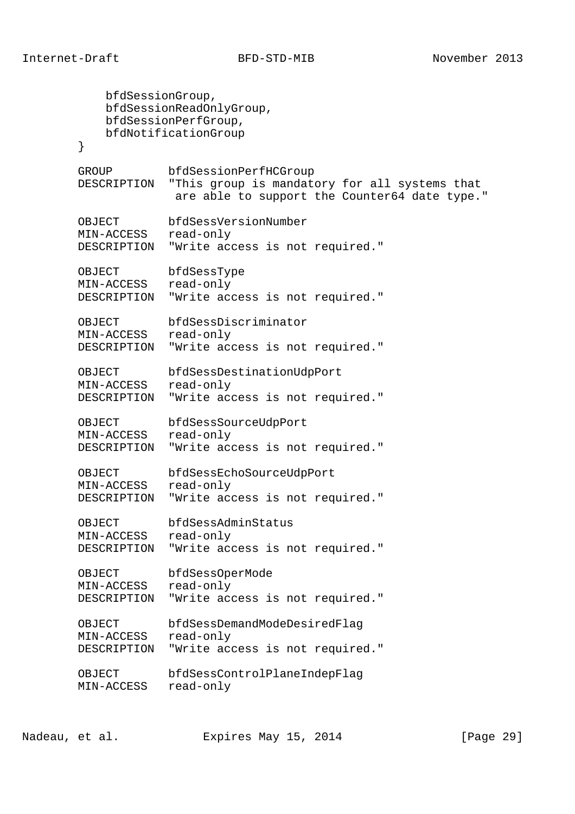```
 bfdSessionGroup,
           bfdSessionReadOnlyGroup,
           bfdSessionPerfGroup,
           bfdNotificationGroup
        }
        GROUP bfdSessionPerfHCGroup
        DESCRIPTION "This group is mandatory for all systems that
                   are able to support the Counter64 date type."
 OBJECT bfdSessVersionNumber
 MIN-ACCESS read-only
        DESCRIPTION "Write access is not required."
        OBJECT bfdSessType
        MIN-ACCESS read-only
        DESCRIPTION "Write access is not required."
        OBJECT bfdSessDiscriminator
        MIN-ACCESS read-only
       DESCRIPTION "Write access is not required."
 OBJECT bfdSessDestinationUdpPort
 MIN-ACCESS read-only
        DESCRIPTION "Write access is not required."
        OBJECT bfdSessSourceUdpPort
        MIN-ACCESS read-only
        DESCRIPTION "Write access is not required."
        OBJECT bfdSessEchoSourceUdpPort
        MIN-ACCESS read-only
        DESCRIPTION "Write access is not required."
 OBJECT bfdSessAdminStatus
 MIN-ACCESS read-only
        DESCRIPTION "Write access is not required."
        OBJECT bfdSessOperMode
        MIN-ACCESS read-only
        DESCRIPTION "Write access is not required."
 OBJECT bfdSessDemandModeDesiredFlag
 MIN-ACCESS read-only
       DESCRIPTION "Write access is not required."
        OBJECT bfdSessControlPlaneIndepFlag
       MIN-ACCESS read-only
```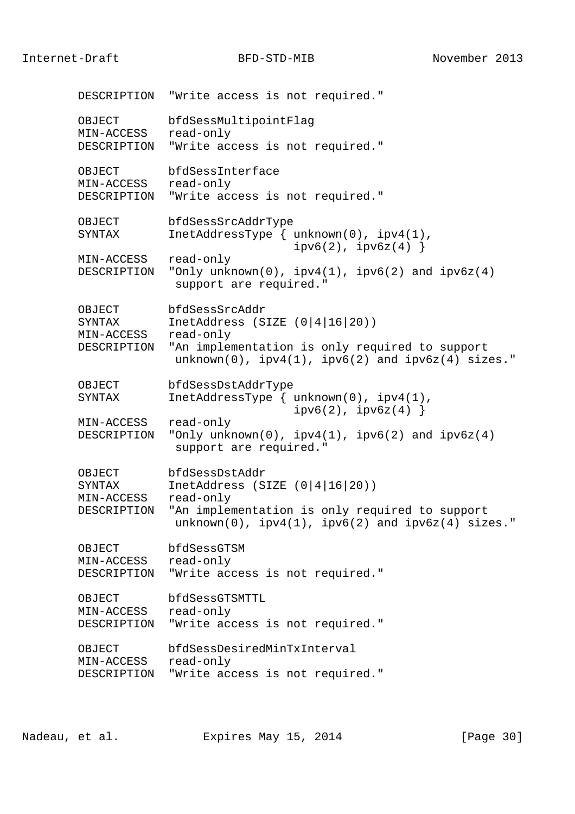Internet-Draft BFD-STD-MIB November 2013

 DESCRIPTION "Write access is not required." OBJECT bfdSessMultipointFlag MIN-ACCESS read-only DESCRIPTION "Write access is not required." OBJECT bfdSessInterface MIN-ACCESS read-only DESCRIPTION "Write access is not required." OBJECT bfdSessSrcAddrType SYNTAX InetAddressType { unknown(0), ipv4(1),  $ipv6(2)$ ,  $ipv6z(4)$  } MIN-ACCESS read-only DESCRIPTION "Only unknown(0),  $ipv4(1)$ ,  $ipv6(2)$  and  $ipv6z(4)$ support are required." OBJECT bfdSessSrcAddr<br>SYNTAX InetAddress (S InetAddress (SIZE  $(0|4|16|20)$ ) MIN-ACCESS read-only DESCRIPTION "An implementation is only required to support  $unknown(0)$ ,  $ipv4(1)$ ,  $ipv6(2)$  and  $ipv6z(4)$  sizes." OBJECT bfdSessDstAddrType SYNTAX InetAddressType { unknown(0), ipv4(1),  $ipv6(2)$ ,  $ipv6z(4)$  } MIN-ACCESS read-only DESCRIPTION "Only unknown(0), ipv4(1), ipv6(2) and ipv6z(4) support are required." OBJECT bfdSessDstAddr SYNTAX InetAddress (SIZE (0|4|16|20)) MIN-ACCESS read-only DESCRIPTION "An implementation is only required to support  $unknown(0)$ ,  $ipv4(1)$ ,  $ipv6(2)$  and  $ipv6z(4)$  sizes." OBJECT bfdSessGTSM MIN-ACCESS read-only DESCRIPTION "Write access is not required." OBJECT bfdSessGTSMTTL MIN-ACCESS read-only DESCRIPTION "Write access is not required." OBJECT bfdSessDesiredMinTxInterval MIN-ACCESS read-only DESCRIPTION "Write access is not required."

Nadeau, et al. Expires May 15, 2014 [Page 30]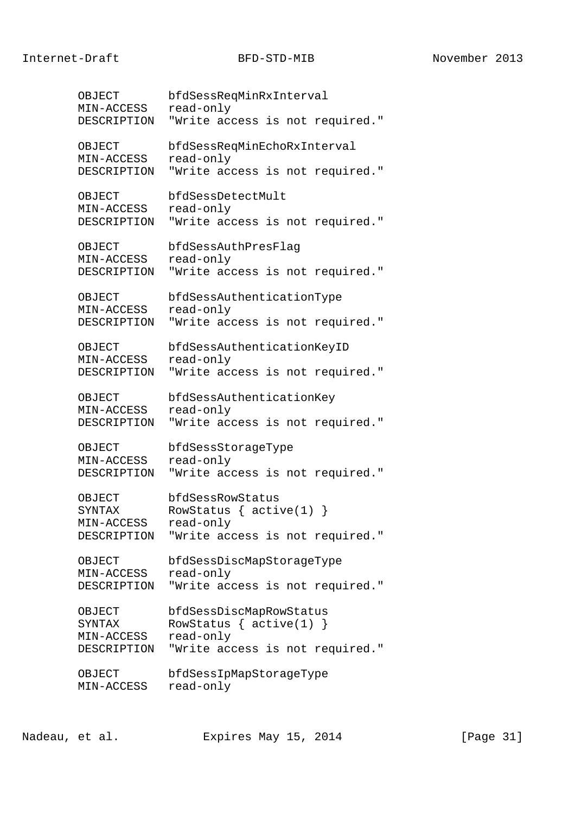OBJECT bfdSessReqMinRxInterval MIN-ACCESS read-only DESCRIPTION "Write access is not required." OBJECT bfdSessReqMinEchoRxInterval MIN-ACCESS read-only DESCRIPTION "Write access is not required." OBJECT bfdSessDetectMult MIN-ACCESS read-only DESCRIPTION "Write access is not required." OBJECT bfdSessAuthPresFlag MIN-ACCESS read-only DESCRIPTION "Write access is not required." OBJECT bfdSessAuthenticationType MIN-ACCESS read-only DESCRIPTION "Write access is not required." OBJECT bfdSessAuthenticationKeyID MIN-ACCESS read-only DESCRIPTION "Write access is not required." OBJECT bfdSessAuthenticationKey MIN-ACCESS read-only DESCRIPTION "Write access is not required." OBJECT bfdSessStorageType MIN-ACCESS read-only DESCRIPTION "Write access is not required." OBJECT bfdSessRowStatus SYNTAX RowStatus { active(1) } MIN-ACCESS read-only DESCRIPTION "Write access is not required." OBJECT bfdSessDiscMapStorageType MIN-ACCESS read-only DESCRIPTION "Write access is not required." OBJECT bfdSessDiscMapRowStatus SYNTAX RowStatus { active(1) } MIN-ACCESS read-only DESCRIPTION "Write access is not required." OBJECT bfdSessIpMapStorageType MIN-ACCESS read-only

Nadeau, et al. Expires May 15, 2014 [Page 31]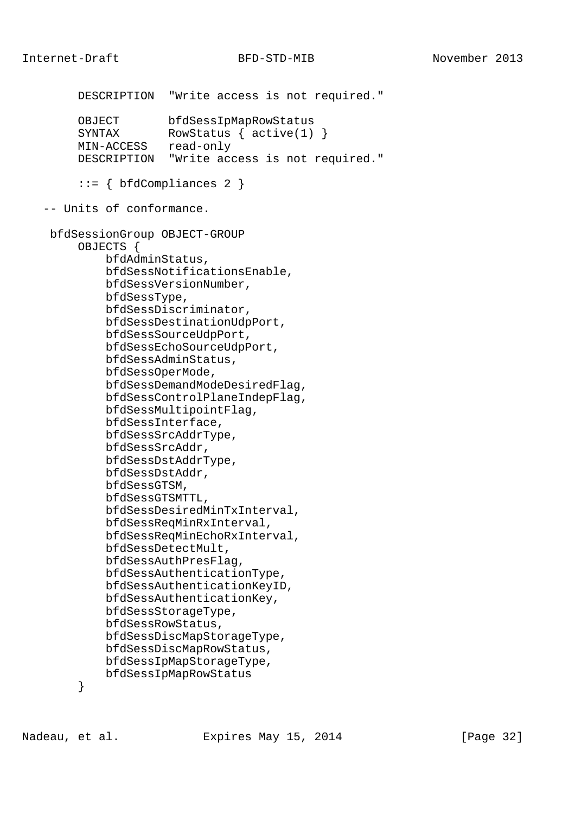```
 DESCRIPTION "Write access is not required."
     OBJECT bfdSessIpMapRowStatus<br>SYNTAX RowStatus { active(1)
                  RowStatus \{ active(1) \} MIN-ACCESS read-only
      DESCRIPTION "Write access is not required."
      ::= { bfdCompliances 2 }
 -- Units of conformance.
 bfdSessionGroup OBJECT-GROUP
      OBJECTS {
          bfdAdminStatus,
          bfdSessNotificationsEnable,
          bfdSessVersionNumber,
          bfdSessType,
          bfdSessDiscriminator,
          bfdSessDestinationUdpPort,
          bfdSessSourceUdpPort,
          bfdSessEchoSourceUdpPort,
          bfdSessAdminStatus,
          bfdSessOperMode,
          bfdSessDemandModeDesiredFlag,
          bfdSessControlPlaneIndepFlag,
          bfdSessMultipointFlag,
          bfdSessInterface,
          bfdSessSrcAddrType,
          bfdSessSrcAddr,
          bfdSessDstAddrType,
          bfdSessDstAddr,
          bfdSessGTSM,
          bfdSessGTSMTTL,
          bfdSessDesiredMinTxInterval,
          bfdSessReqMinRxInterval,
          bfdSessReqMinEchoRxInterval,
          bfdSessDetectMult,
          bfdSessAuthPresFlag,
          bfdSessAuthenticationType,
          bfdSessAuthenticationKeyID,
          bfdSessAuthenticationKey,
          bfdSessStorageType,
          bfdSessRowStatus,
          bfdSessDiscMapStorageType,
          bfdSessDiscMapRowStatus,
          bfdSessIpMapStorageType,
          bfdSessIpMapRowStatus
```
}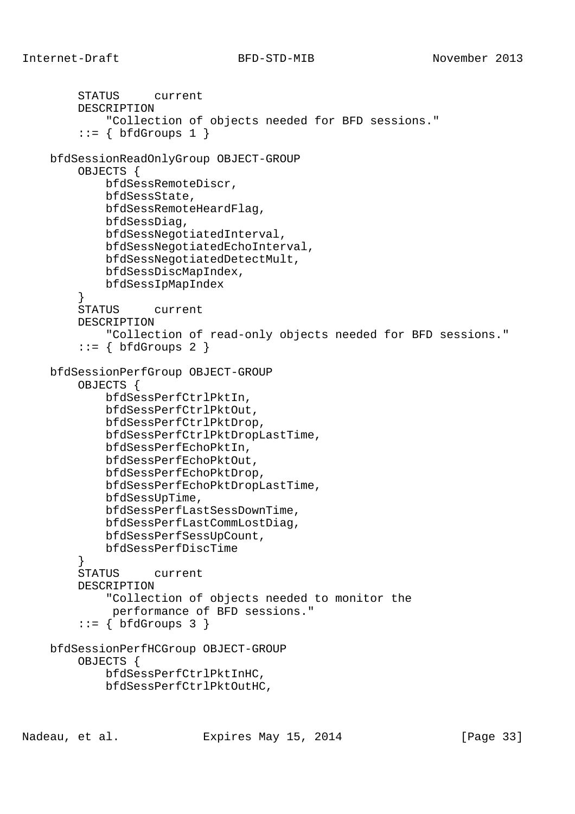STATUS current

```
Internet-Draft BFD-STD-MIB November 2013
```

```
 DESCRIPTION
             "Collection of objects needed for BFD sessions."
        ::= \{ \text{bfGrows 1} \} bfdSessionReadOnlyGroup OBJECT-GROUP
         OBJECTS {
             bfdSessRemoteDiscr,
             bfdSessState,
             bfdSessRemoteHeardFlag,
             bfdSessDiag,
             bfdSessNegotiatedInterval,
             bfdSessNegotiatedEchoInterval,
             bfdSessNegotiatedDetectMult,
             bfdSessDiscMapIndex,
             bfdSessIpMapIndex
         }
         STATUS current
         DESCRIPTION
             "Collection of read-only objects needed for BFD sessions."
        ::= \{ \text{bfGrows } 2 \} bfdSessionPerfGroup OBJECT-GROUP
         OBJECTS {
             bfdSessPerfCtrlPktIn,
             bfdSessPerfCtrlPktOut,
             bfdSessPerfCtrlPktDrop,
             bfdSessPerfCtrlPktDropLastTime,
             bfdSessPerfEchoPktIn,
             bfdSessPerfEchoPktOut,
             bfdSessPerfEchoPktDrop,
             bfdSessPerfEchoPktDropLastTime,
             bfdSessUpTime,
             bfdSessPerfLastSessDownTime,
             bfdSessPerfLastCommLostDiag,
             bfdSessPerfSessUpCount,
             bfdSessPerfDiscTime
 }
         STATUS current
         DESCRIPTION
             "Collection of objects needed to monitor the
              performance of BFD sessions."
        ::= { bfdGroups 3 }
    bfdSessionPerfHCGroup OBJECT-GROUP
         OBJECTS {
             bfdSessPerfCtrlPktInHC,
             bfdSessPerfCtrlPktOutHC,
```
Nadeau, et al. Expires May 15, 2014 [Page 33]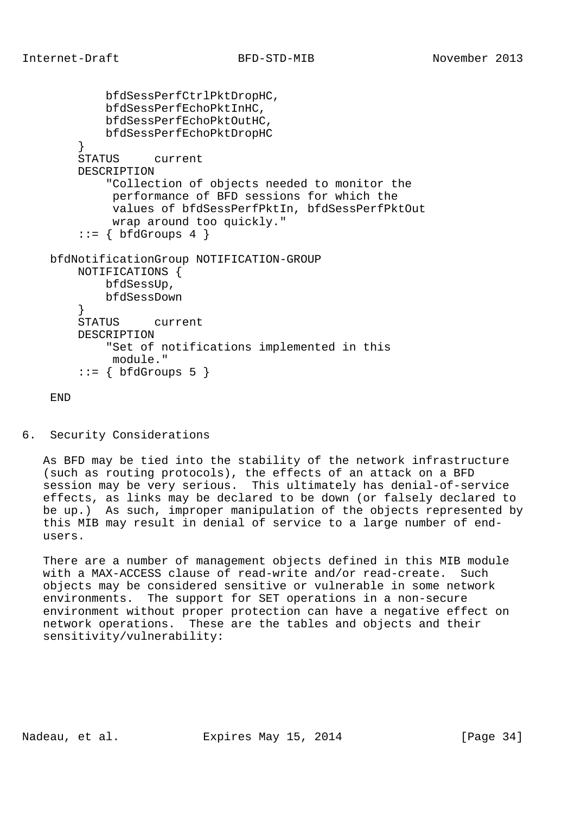```
 bfdSessPerfCtrlPktDropHC,
         bfdSessPerfEchoPktInHC,
         bfdSessPerfEchoPktOutHC,
         bfdSessPerfEchoPktDropHC
     }
     STATUS current
     DESCRIPTION
         "Collection of objects needed to monitor the
          performance of BFD sessions for which the
          values of bfdSessPerfPktIn, bfdSessPerfPktOut
          wrap around too quickly."
    ::= \{ bfdGroups 4 \} bfdNotificationGroup NOTIFICATION-GROUP
     NOTIFICATIONS {
         bfdSessUp,
         bfdSessDown
     }
     STATUS current
     DESCRIPTION
         "Set of notifications implemented in this
         module."
     ::= { bfdGroups 5 }
```
END

6. Security Considerations

 As BFD may be tied into the stability of the network infrastructure (such as routing protocols), the effects of an attack on a BFD session may be very serious. This ultimately has denial-of-service effects, as links may be declared to be down (or falsely declared to be up.) As such, improper manipulation of the objects represented by this MIB may result in denial of service to a large number of end users.

 There are a number of management objects defined in this MIB module with a MAX-ACCESS clause of read-write and/or read-create. Such objects may be considered sensitive or vulnerable in some network environments. The support for SET operations in a non-secure environment without proper protection can have a negative effect on network operations. These are the tables and objects and their sensitivity/vulnerability: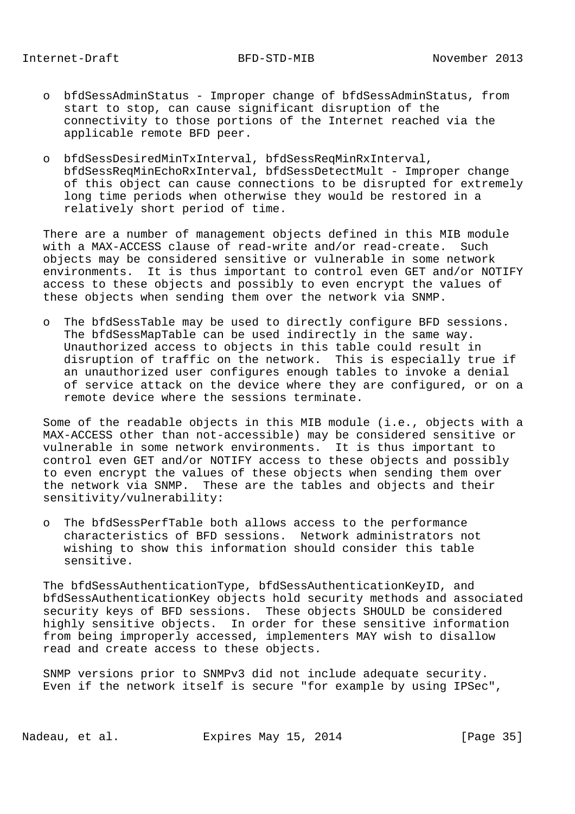- o bfdSessAdminStatus Improper change of bfdSessAdminStatus, from start to stop, can cause significant disruption of the connectivity to those portions of the Internet reached via the applicable remote BFD peer.
- o bfdSessDesiredMinTxInterval, bfdSessReqMinRxInterval, bfdSessReqMinEchoRxInterval, bfdSessDetectMult - Improper change of this object can cause connections to be disrupted for extremely long time periods when otherwise they would be restored in a relatively short period of time.

 There are a number of management objects defined in this MIB module with a MAX-ACCESS clause of read-write and/or read-create. Such objects may be considered sensitive or vulnerable in some network environments. It is thus important to control even GET and/or NOTIFY access to these objects and possibly to even encrypt the values of these objects when sending them over the network via SNMP.

 o The bfdSessTable may be used to directly configure BFD sessions. The bfdSessMapTable can be used indirectly in the same way. Unauthorized access to objects in this table could result in disruption of traffic on the network. This is especially true if an unauthorized user configures enough tables to invoke a denial of service attack on the device where they are configured, or on a remote device where the sessions terminate.

 Some of the readable objects in this MIB module (i.e., objects with a MAX-ACCESS other than not-accessible) may be considered sensitive or vulnerable in some network environments. It is thus important to control even GET and/or NOTIFY access to these objects and possibly to even encrypt the values of these objects when sending them over the network via SNMP. These are the tables and objects and their sensitivity/vulnerability:

 o The bfdSessPerfTable both allows access to the performance characteristics of BFD sessions. Network administrators not wishing to show this information should consider this table sensitive.

 The bfdSessAuthenticationType, bfdSessAuthenticationKeyID, and bfdSessAuthenticationKey objects hold security methods and associated security keys of BFD sessions. These objects SHOULD be considered highly sensitive objects. In order for these sensitive information from being improperly accessed, implementers MAY wish to disallow read and create access to these objects.

 SNMP versions prior to SNMPv3 did not include adequate security. Even if the network itself is secure "for example by using IPSec",

Nadeau, et al. Expires May 15, 2014 [Page 35]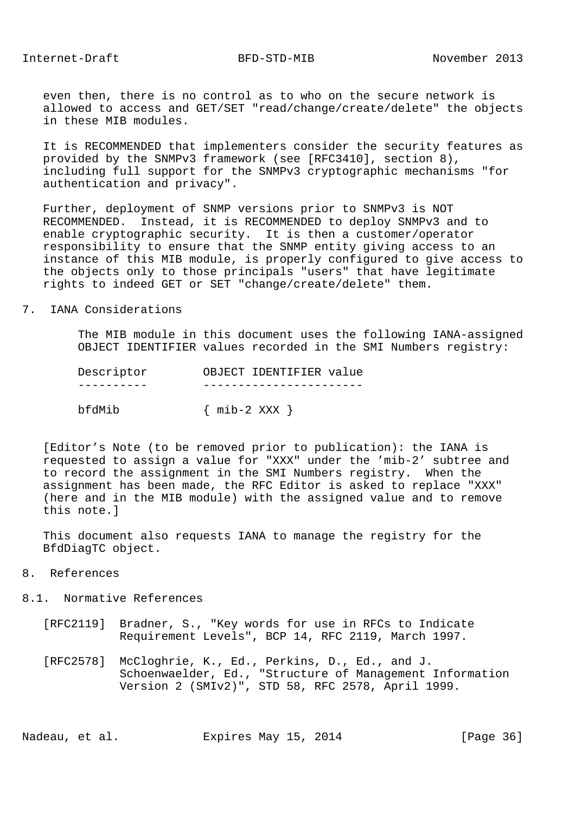even then, there is no control as to who on the secure network is allowed to access and GET/SET "read/change/create/delete" the objects in these MIB modules.

 It is RECOMMENDED that implementers consider the security features as provided by the SNMPv3 framework (see [RFC3410], section 8), including full support for the SNMPv3 cryptographic mechanisms "for authentication and privacy".

 Further, deployment of SNMP versions prior to SNMPv3 is NOT RECOMMENDED. Instead, it is RECOMMENDED to deploy SNMPv3 and to enable cryptographic security. It is then a customer/operator responsibility to ensure that the SNMP entity giving access to an instance of this MIB module, is properly configured to give access to the objects only to those principals "users" that have legitimate rights to indeed GET or SET "change/create/delete" them.

### 7. IANA Considerations

 The MIB module in this document uses the following IANA-assigned OBJECT IDENTIFIER values recorded in the SMI Numbers registry:

| Descriptor | OBJECT IDENTIFIER value |
|------------|-------------------------|
|            |                         |
| bfdMib     | $\{$ mib-2 XXX $\}$     |

 [Editor's Note (to be removed prior to publication): the IANA is requested to assign a value for "XXX" under the 'mib-2' subtree and to record the assignment in the SMI Numbers registry. When the assignment has been made, the RFC Editor is asked to replace "XXX" (here and in the MIB module) with the assigned value and to remove this note.]

 This document also requests IANA to manage the registry for the BfdDiagTC object.

- 8. References
- 8.1. Normative References
	- [RFC2119] Bradner, S., "Key words for use in RFCs to Indicate Requirement Levels", BCP 14, RFC 2119, March 1997.
	- [RFC2578] McCloghrie, K., Ed., Perkins, D., Ed., and J. Schoenwaelder, Ed., "Structure of Management Information Version 2 (SMIv2)", STD 58, RFC 2578, April 1999.

Nadeau, et al. **Expires May 15, 2014** [Page 36]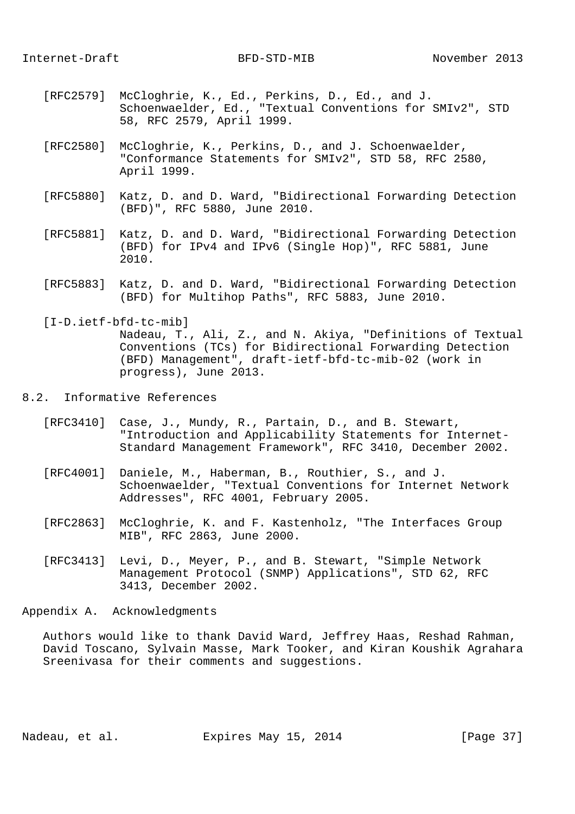- [RFC2579] McCloghrie, K., Ed., Perkins, D., Ed., and J. Schoenwaelder, Ed., "Textual Conventions for SMIv2", STD 58, RFC 2579, April 1999.
- [RFC2580] McCloghrie, K., Perkins, D., and J. Schoenwaelder, "Conformance Statements for SMIv2", STD 58, RFC 2580, April 1999.
- [RFC5880] Katz, D. and D. Ward, "Bidirectional Forwarding Detection (BFD)", RFC 5880, June 2010.
- [RFC5881] Katz, D. and D. Ward, "Bidirectional Forwarding Detection (BFD) for IPv4 and IPv6 (Single Hop)", RFC 5881, June 2010.
- [RFC5883] Katz, D. and D. Ward, "Bidirectional Forwarding Detection (BFD) for Multihop Paths", RFC 5883, June 2010.

 [I-D.ietf-bfd-tc-mib] Nadeau, T., Ali, Z., and N. Akiya, "Definitions of Textual Conventions (TCs) for Bidirectional Forwarding Detection (BFD) Management", draft-ietf-bfd-tc-mib-02 (work in progress), June 2013.

# 8.2. Informative References

- [RFC3410] Case, J., Mundy, R., Partain, D., and B. Stewart, "Introduction and Applicability Statements for Internet- Standard Management Framework", RFC 3410, December 2002.
- [RFC4001] Daniele, M., Haberman, B., Routhier, S., and J. Schoenwaelder, "Textual Conventions for Internet Network Addresses", RFC 4001, February 2005.
- [RFC2863] McCloghrie, K. and F. Kastenholz, "The Interfaces Group MIB", RFC 2863, June 2000.
- [RFC3413] Levi, D., Meyer, P., and B. Stewart, "Simple Network Management Protocol (SNMP) Applications", STD 62, RFC 3413, December 2002.

Appendix A. Acknowledgments

 Authors would like to thank David Ward, Jeffrey Haas, Reshad Rahman, David Toscano, Sylvain Masse, Mark Tooker, and Kiran Koushik Agrahara Sreenivasa for their comments and suggestions.

Nadeau, et al. Expires May 15, 2014 [Page 37]